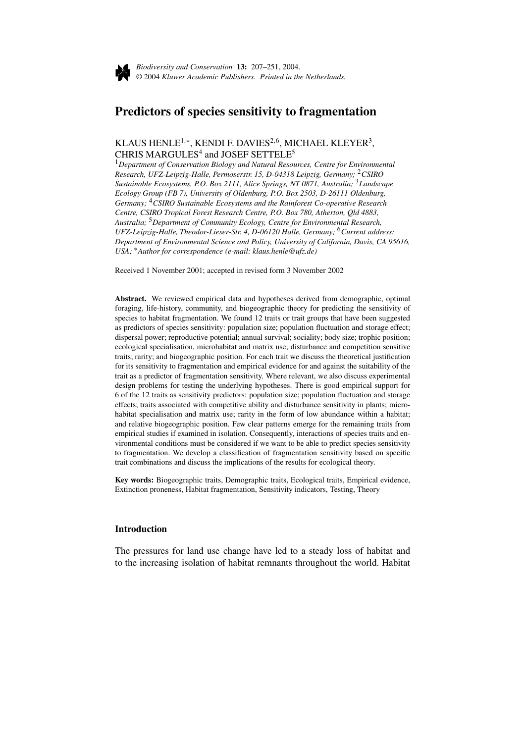

*Biodiversity and Conservation* **13:** 207–251, 2004. © 2004 *Kluwer Academic Publishers. Printed in the Netherlands.*

# **Predictors of species sensitivity to fragmentation**

# KLAUS HENLE<sup>1</sup>*,*∗, KENDI F. DAVIES<sup>2</sup>*,*6, MICHAEL KLEYER3 , CHRIS MARGULES $4$  and JOSEF SETTELE<sup>5</sup>

<sup>1</sup>*Department of Conservation Biology and Natural Resources, Centre for Environmental Research, UFZ-Leipzig-Halle, Permoserstr. 15, D-04318 Leipzig, Germany;* <sup>2</sup>*CSIRO Sustainable Ecosystems, P.O. Box 2111, Alice Springs, NT 0871, Australia;* <sup>3</sup>*Landscape Ecology Group (FB 7), University of Oldenburg, P.O. Box 2503, D-26111 Oldenburg, Germany;* <sup>4</sup>*CSIRO Sustainable Ecosystems and the Rainforest Co-operative Research Centre, CSIRO Tropical Forest Research Centre, P.O. Box 780, Atherton, Qld 4883, Australia;* <sup>5</sup>*Department of Community Ecology, Centre for Environmental Research, UFZ-Leipzig-Halle, Theodor-Lieser-Str. 4, D-06120 Halle, Germany;* <sup>6</sup>*Current address: Department of Environmental Science and Policy, University of California, Davis, CA 95616, USA;* ∗*Author for correspondence (e-mail: klaus.henle@ufz.de)*

Received 1 November 2001; accepted in revised form 3 November 2002

**Abstract.** We reviewed empirical data and hypotheses derived from demographic, optimal foraging, life-history, community, and biogeographic theory for predicting the sensitivity of species to habitat fragmentation. We found 12 traits or trait groups that have been suggested as predictors of species sensitivity: population size; population fluctuation and storage effect; dispersal power; reproductive potential; annual survival; sociality; body size; trophic position; ecological specialisation, microhabitat and matrix use; disturbance and competition sensitive traits; rarity; and biogeographic position. For each trait we discuss the theoretical justification for its sensitivity to fragmentation and empirical evidence for and against the suitability of the trait as a predictor of fragmentation sensitivity. Where relevant, we also discuss experimental design problems for testing the underlying hypotheses. There is good empirical support for 6 of the 12 traits as sensitivity predictors: population size; population fluctuation and storage effects; traits associated with competitive ability and disturbance sensitivity in plants; microhabitat specialisation and matrix use; rarity in the form of low abundance within a habitat; and relative biogeographic position. Few clear patterns emerge for the remaining traits from empirical studies if examined in isolation. Consequently, interactions of species traits and environmental conditions must be considered if we want to be able to predict species sensitivity to fragmentation. We develop a classification of fragmentation sensitivity based on specific trait combinations and discuss the implications of the results for ecological theory.

**Key words:** Biogeographic traits, Demographic traits, Ecological traits, Empirical evidence, Extinction proneness, Habitat fragmentation, Sensitivity indicators, Testing, Theory

# **Introduction**

The pressures for land use change have led to a steady loss of habitat and to the increasing isolation of habitat remnants throughout the world. Habitat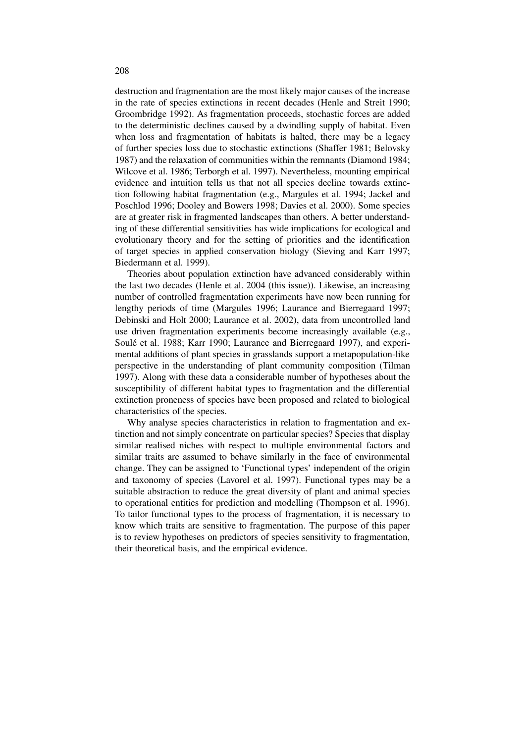destruction and fragmentation are the most likely major causes of the increase in the rate of species extinctions in recent decades (Henle and Streit 1990; Groombridge 1992). As fragmentation proceeds, stochastic forces are added to the deterministic declines caused by a dwindling supply of habitat. Even when loss and fragmentation of habitats is halted, there may be a legacy of further species loss due to stochastic extinctions (Shaffer 1981; Belovsky 1987) and the relaxation of communities within the remnants (Diamond 1984; Wilcove et al. 1986; Terborgh et al. 1997). Nevertheless, mounting empirical evidence and intuition tells us that not all species decline towards extinction following habitat fragmentation (e.g., Margules et al. 1994; Jackel and Poschlod 1996; Dooley and Bowers 1998; Davies et al. 2000). Some species are at greater risk in fragmented landscapes than others. A better understanding of these differential sensitivities has wide implications for ecological and evolutionary theory and for the setting of priorities and the identification of target species in applied conservation biology (Sieving and Karr 1997; Biedermann et al. 1999).

Theories about population extinction have advanced considerably within the last two decades (Henle et al. 2004 (this issue)). Likewise, an increasing number of controlled fragmentation experiments have now been running for lengthy periods of time (Margules 1996; Laurance and Bierregaard 1997; Debinski and Holt 2000; Laurance et al. 2002), data from uncontrolled land use driven fragmentation experiments become increasingly available (e.g., Soulé et al. 1988; Karr 1990; Laurance and Bierregaard 1997), and experimental additions of plant species in grasslands support a metapopulation-like perspective in the understanding of plant community composition (Tilman 1997). Along with these data a considerable number of hypotheses about the susceptibility of different habitat types to fragmentation and the differential extinction proneness of species have been proposed and related to biological characteristics of the species.

Why analyse species characteristics in relation to fragmentation and extinction and not simply concentrate on particular species? Species that display similar realised niches with respect to multiple environmental factors and similar traits are assumed to behave similarly in the face of environmental change. They can be assigned to 'Functional types' independent of the origin and taxonomy of species (Lavorel et al. 1997). Functional types may be a suitable abstraction to reduce the great diversity of plant and animal species to operational entities for prediction and modelling (Thompson et al. 1996). To tailor functional types to the process of fragmentation, it is necessary to know which traits are sensitive to fragmentation. The purpose of this paper is to review hypotheses on predictors of species sensitivity to fragmentation, their theoretical basis, and the empirical evidence.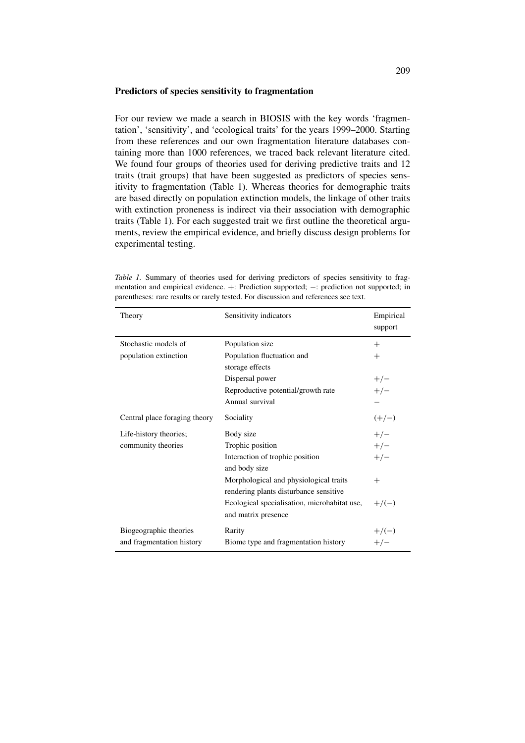## **Predictors of species sensitivity to fragmentation**

For our review we made a search in BIOSIS with the key words 'fragmentation', 'sensitivity', and 'ecological traits' for the years 1999–2000. Starting from these references and our own fragmentation literature databases containing more than 1000 references, we traced back relevant literature cited. We found four groups of theories used for deriving predictive traits and 12 traits (trait groups) that have been suggested as predictors of species sensitivity to fragmentation (Table 1). Whereas theories for demographic traits are based directly on population extinction models, the linkage of other traits with extinction proneness is indirect via their association with demographic traits (Table 1). For each suggested trait we first outline the theoretical arguments, review the empirical evidence, and briefly discuss design problems for experimental testing.

| Theory                        | Sensitivity indicators                       | Empirical |
|-------------------------------|----------------------------------------------|-----------|
|                               |                                              | support   |
|                               |                                              |           |
| Stochastic models of          | Population size                              | $^{+}$    |
| population extinction         | Population fluctuation and                   | $^{+}$    |
|                               | storage effects                              |           |
|                               | Dispersal power                              | $+/-$     |
|                               | Reproductive potential/growth rate           | $+/-$     |
|                               | Annual survival                              |           |
| Central place foraging theory | Sociality                                    | $(+/-)$   |
| Life-history theories;        | Body size                                    | $+/-$     |
| community theories            | Trophic position                             | $+/-$     |
|                               | Interaction of trophic position              | $+/-$     |
|                               | and body size                                |           |
|                               | Morphological and physiological traits       | $^{+}$    |
|                               | rendering plants disturbance sensitive       |           |
|                               | Ecological specialisation, microhabitat use, | $+/(-)$   |
|                               | and matrix presence                          |           |
| Biogeographic theories        | Rarity                                       | $+$ /(-)  |
| and fragmentation history     | Biome type and fragmentation history         | $+/-$     |
|                               |                                              |           |

*Table 1.* Summary of theories used for deriving predictors of species sensitivity to fragmentation and empirical evidence. +: Prediction supported; −: prediction not supported; in parentheses: rare results or rarely tested. For discussion and references see text.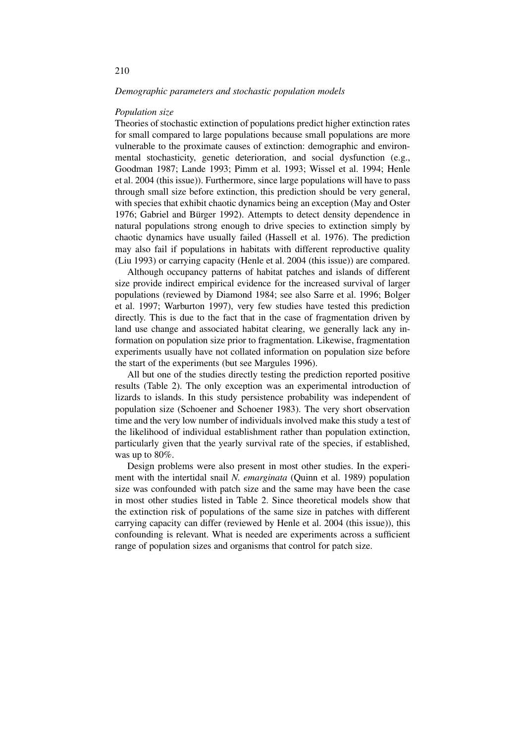## *Demographic parameters and stochastic population models*

#### *Population size*

Theories of stochastic extinction of populations predict higher extinction rates for small compared to large populations because small populations are more vulnerable to the proximate causes of extinction: demographic and environmental stochasticity, genetic deterioration, and social dysfunction (e.g., Goodman 1987; Lande 1993; Pimm et al. 1993; Wissel et al. 1994; Henle et al. 2004 (this issue)). Furthermore, since large populations will have to pass through small size before extinction, this prediction should be very general, with species that exhibit chaotic dynamics being an exception (May and Oster 1976; Gabriel and Bürger 1992). Attempts to detect density dependence in natural populations strong enough to drive species to extinction simply by chaotic dynamics have usually failed (Hassell et al. 1976). The prediction may also fail if populations in habitats with different reproductive quality (Liu 1993) or carrying capacity (Henle et al. 2004 (this issue)) are compared.

Although occupancy patterns of habitat patches and islands of different size provide indirect empirical evidence for the increased survival of larger populations (reviewed by Diamond 1984; see also Sarre et al. 1996; Bolger et al. 1997; Warburton 1997), very few studies have tested this prediction directly. This is due to the fact that in the case of fragmentation driven by land use change and associated habitat clearing, we generally lack any information on population size prior to fragmentation. Likewise, fragmentation experiments usually have not collated information on population size before the start of the experiments (but see Margules 1996).

All but one of the studies directly testing the prediction reported positive results (Table 2). The only exception was an experimental introduction of lizards to islands. In this study persistence probability was independent of population size (Schoener and Schoener 1983). The very short observation time and the very low number of individuals involved make this study a test of the likelihood of individual establishment rather than population extinction, particularly given that the yearly survival rate of the species, if established, was up to 80%.

Design problems were also present in most other studies. In the experiment with the intertidal snail *N. emarginata* (Quinn et al. 1989) population size was confounded with patch size and the same may have been the case in most other studies listed in Table 2. Since theoretical models show that the extinction risk of populations of the same size in patches with different carrying capacity can differ (reviewed by Henle et al. 2004 (this issue)), this confounding is relevant. What is needed are experiments across a sufficient range of population sizes and organisms that control for patch size.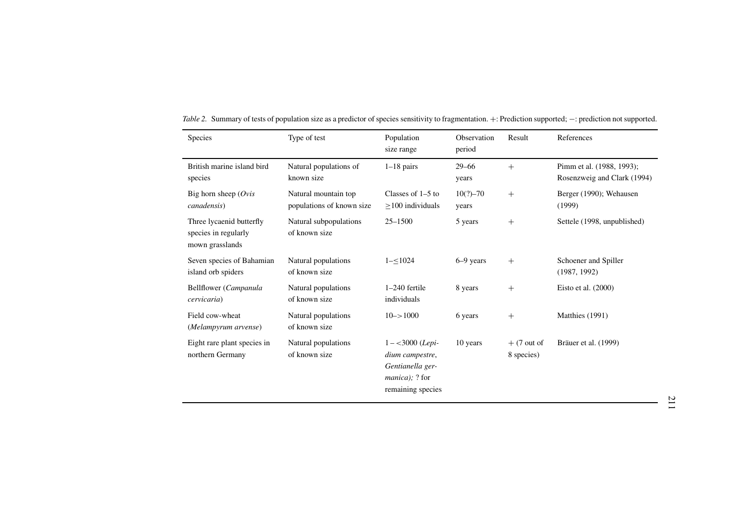| Species                                                             | Type of test                                      | Population<br>size range                                                                         | Observation<br>period | Result                      | References                                               |
|---------------------------------------------------------------------|---------------------------------------------------|--------------------------------------------------------------------------------------------------|-----------------------|-----------------------------|----------------------------------------------------------|
| British marine island bird<br>species                               | Natural populations of<br>known size              | $1-18$ pairs                                                                                     | $29 - 66$<br>years    | $+$                         | Pimm et al. (1988, 1993);<br>Rosenzweig and Clark (1994) |
| Big horn sheep $(Ovis)$<br>canadensis)                              | Natural mountain top<br>populations of known size | Classes of $1-5$ to<br>$\geq$ 100 individuals                                                    | $10(?) - 70$<br>years | $+$                         | Berger (1990); Wehausen<br>(1999)                        |
| Three lycaenid butterfly<br>species in regularly<br>mown grasslands | Natural subpopulations<br>of known size           | $25 - 1500$                                                                                      | 5 years               | $+$                         | Settele (1998, unpublished)                              |
| Seven species of Bahamian<br>island orb spiders                     | Natural populations<br>of known size              | $1 - 1024$                                                                                       | $6-9$ years           | $+$                         | Schoener and Spiller<br>(1987, 1992)                     |
| Bellflower (Campanula<br>cervicaria)                                | Natural populations<br>of known size              | $1-240$ fertile<br>individuals                                                                   | 8 years               | $+$                         | Eisto et al. $(2000)$                                    |
| Field cow-wheat<br>(Melampyrum arvense)                             | Natural populations<br>of known size              | $10 - > 1000$                                                                                    | 6 years               | $+$                         | Matthies (1991)                                          |
| Eight rare plant species in<br>northern Germany                     | Natural populations<br>of known size              | $1 - <3000$ (Lepi-<br>dium campestre,<br>Gentianella ger-<br>manica); ? for<br>remaining species | 10 years              | $+$ (7 out of<br>8 species) | Bräuer et al. (1999)                                     |

*Table 2.* Summary of tests of population size as <sup>a</sup> predictor of species sensitivity to fragmentation. +: Prediction supported; <sup>−</sup>: prediction not supported.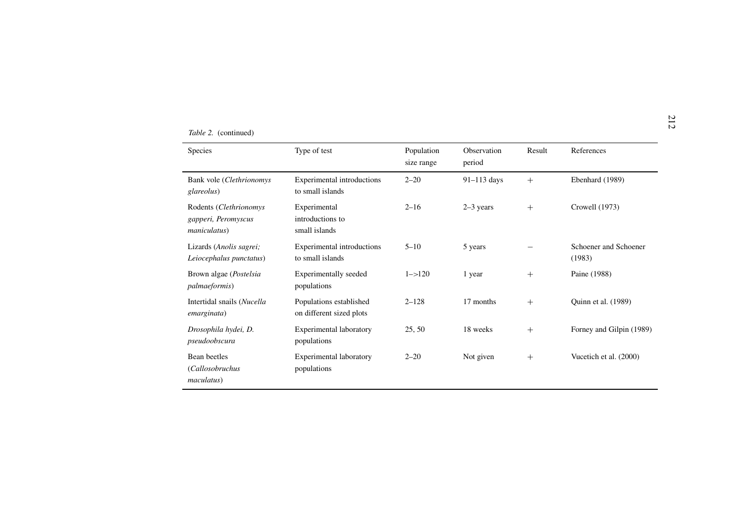| Species                                                               | Type of test                                        | Population<br>size range | Observation<br>period | Result | References                      |
|-----------------------------------------------------------------------|-----------------------------------------------------|--------------------------|-----------------------|--------|---------------------------------|
| Bank vole ( <i>Clethrionomys</i><br>glareolus)                        | Experimental introductions<br>to small islands      | $2 - 20$                 | $91-113$ days         | $^{+}$ | Ebenhard (1989)                 |
| Rodents (Clethrionomys<br>gapperi, Peromyscus<br><i>maniculatus</i> ) | Experimental<br>introductions to<br>small islands   | $2 - 16$                 | $2-3$ years           | $^{+}$ | Crowell (1973)                  |
| Lizards (Anolis sagrei;<br>Leiocephalus punctatus)                    | Experimental introductions<br>to small islands      | $5 - 10$                 | 5 years               |        | Schoener and Schoener<br>(1983) |
| Brown algae (Postelsia<br><i>palmaeformis</i> )                       | Experimentally seeded<br>populations                | $1 - > 120$              | 1 year                | $^{+}$ | Paine (1988)                    |
| Intertidal snails (Nucella<br><i>emarginata</i> )                     | Populations established<br>on different sized plots | $2 - 128$                | 17 months             | $^{+}$ | Quinn et al. (1989)             |
| Drosophila hydei, D.<br>pseudoobscura                                 | Experimental laboratory<br>populations              | 25, 50                   | 18 weeks              | $^{+}$ | Forney and Gilpin (1989)        |
| Bean beetles<br>(Callosobruchus<br><i>maculatus</i> )                 | Experimental laboratory<br>populations              | $2 - 20$                 | Not given             | $^{+}$ | Vucetich et al. (2000)          |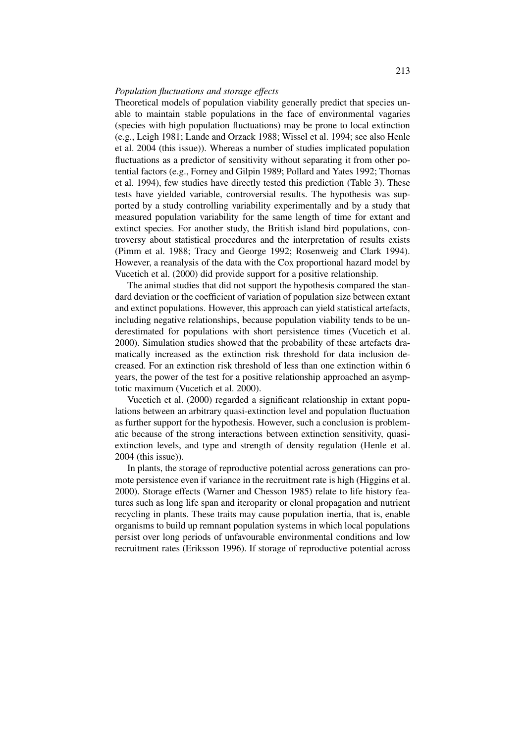#### *Population fluctuations and storage effects*

Theoretical models of population viability generally predict that species unable to maintain stable populations in the face of environmental vagaries (species with high population fluctuations) may be prone to local extinction (e.g., Leigh 1981; Lande and Orzack 1988; Wissel et al. 1994; see also Henle et al. 2004 (this issue)). Whereas a number of studies implicated population fluctuations as a predictor of sensitivity without separating it from other potential factors (e.g., Forney and Gilpin 1989; Pollard and Yates 1992; Thomas et al. 1994), few studies have directly tested this prediction (Table 3). These tests have yielded variable, controversial results. The hypothesis was supported by a study controlling variability experimentally and by a study that measured population variability for the same length of time for extant and extinct species. For another study, the British island bird populations, controversy about statistical procedures and the interpretation of results exists (Pimm et al. 1988; Tracy and George 1992; Rosenweig and Clark 1994). However, a reanalysis of the data with the Cox proportional hazard model by Vucetich et al. (2000) did provide support for a positive relationship.

The animal studies that did not support the hypothesis compared the standard deviation or the coefficient of variation of population size between extant and extinct populations. However, this approach can yield statistical artefacts, including negative relationships, because population viability tends to be underestimated for populations with short persistence times (Vucetich et al. 2000). Simulation studies showed that the probability of these artefacts dramatically increased as the extinction risk threshold for data inclusion decreased. For an extinction risk threshold of less than one extinction within 6 years, the power of the test for a positive relationship approached an asymptotic maximum (Vucetich et al. 2000).

Vucetich et al. (2000) regarded a significant relationship in extant populations between an arbitrary quasi-extinction level and population fluctuation as further support for the hypothesis. However, such a conclusion is problematic because of the strong interactions between extinction sensitivity, quasiextinction levels, and type and strength of density regulation (Henle et al. 2004 (this issue)).

In plants, the storage of reproductive potential across generations can promote persistence even if variance in the recruitment rate is high (Higgins et al. 2000). Storage effects (Warner and Chesson 1985) relate to life history features such as long life span and iteroparity or clonal propagation and nutrient recycling in plants. These traits may cause population inertia, that is, enable organisms to build up remnant population systems in which local populations persist over long periods of unfavourable environmental conditions and low recruitment rates (Eriksson 1996). If storage of reproductive potential across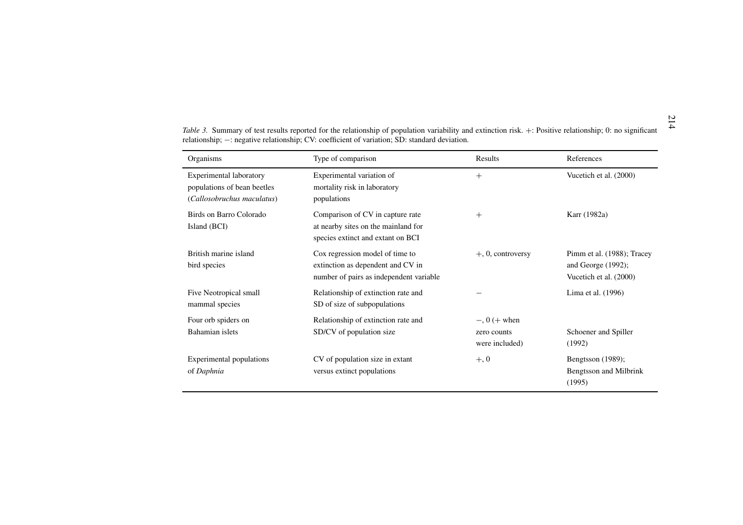| Organisms                                                                            | Type of comparison                                                                                              | Results                                          | References                                                                    |
|--------------------------------------------------------------------------------------|-----------------------------------------------------------------------------------------------------------------|--------------------------------------------------|-------------------------------------------------------------------------------|
| Experimental laboratory<br>populations of bean beetles<br>(Callosobruchus maculatus) | Experimental variation of<br>mortality risk in laboratory<br>populations                                        | $+$                                              | Vucetich et al. (2000)                                                        |
| Birds on Barro Colorado<br>Island (BCI)                                              | Comparison of CV in capture rate<br>at nearby sites on the mainland for<br>species extinct and extant on BCI    | $+$                                              | Karr (1982a)                                                                  |
| British marine island<br>bird species                                                | Cox regression model of time to<br>extinction as dependent and CV in<br>number of pairs as independent variable | $+, 0$ , controversy                             | Pimm et al. (1988); Tracey<br>and George $(1992)$ ;<br>Vucetich et al. (2000) |
| Five Neotropical small<br>mammal species                                             | Relationship of extinction rate and<br>SD of size of subpopulations                                             |                                                  | Lima et al. (1996)                                                            |
| Four orb spiders on<br>Bahamian islets                                               | Relationship of extinction rate and<br>SD/CV of population size                                                 | $-$ , 0 (+ when<br>zero counts<br>were included) | Schoener and Spiller<br>(1992)                                                |
| Experimental populations<br>of Daphnia                                               | CV of population size in extant<br>versus extinct populations                                                   | $+, 0$                                           | Bengtsson (1989);<br>Bengtsson and Milbrink<br>(1995)                         |

214 *Table 3.* Summary of test results reported for the relationship of population variability and extinction risk. +: Positive relationship; 0: no significant relationship; <sup>−</sup>: negative relationship; CV: coefficient of variation; SD: standard deviation.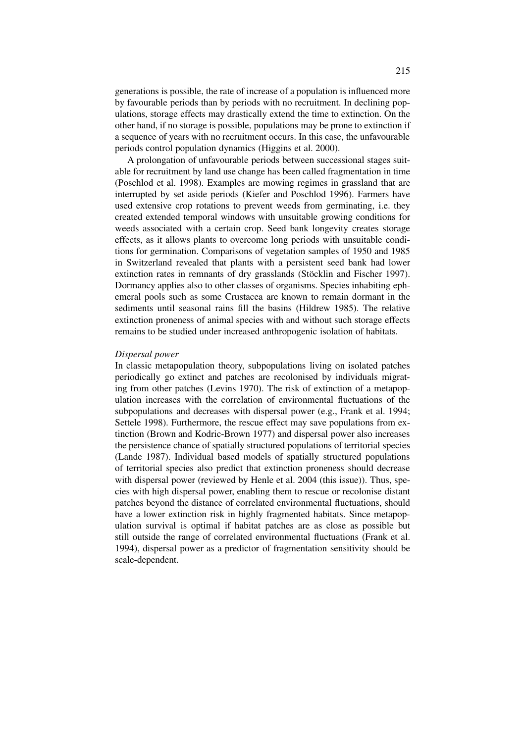generations is possible, the rate of increase of a population is influenced more by favourable periods than by periods with no recruitment. In declining populations, storage effects may drastically extend the time to extinction. On the other hand, if no storage is possible, populations may be prone to extinction if a sequence of years with no recruitment occurs. In this case, the unfavourable periods control population dynamics (Higgins et al. 2000).

A prolongation of unfavourable periods between successional stages suitable for recruitment by land use change has been called fragmentation in time (Poschlod et al. 1998). Examples are mowing regimes in grassland that are interrupted by set aside periods (Kiefer and Poschlod 1996). Farmers have used extensive crop rotations to prevent weeds from germinating, i.e. they created extended temporal windows with unsuitable growing conditions for weeds associated with a certain crop. Seed bank longevity creates storage effects, as it allows plants to overcome long periods with unsuitable conditions for germination. Comparisons of vegetation samples of 1950 and 1985 in Switzerland revealed that plants with a persistent seed bank had lower extinction rates in remnants of dry grasslands (Stöcklin and Fischer 1997). Dormancy applies also to other classes of organisms. Species inhabiting ephemeral pools such as some Crustacea are known to remain dormant in the sediments until seasonal rains fill the basins (Hildrew 1985). The relative extinction proneness of animal species with and without such storage effects remains to be studied under increased anthropogenic isolation of habitats.

#### *Dispersal power*

In classic metapopulation theory, subpopulations living on isolated patches periodically go extinct and patches are recolonised by individuals migrating from other patches (Levins 1970). The risk of extinction of a metapopulation increases with the correlation of environmental fluctuations of the subpopulations and decreases with dispersal power (e.g., Frank et al. 1994; Settele 1998). Furthermore, the rescue effect may save populations from extinction (Brown and Kodric-Brown 1977) and dispersal power also increases the persistence chance of spatially structured populations of territorial species (Lande 1987). Individual based models of spatially structured populations of territorial species also predict that extinction proneness should decrease with dispersal power (reviewed by Henle et al. 2004 (this issue)). Thus, species with high dispersal power, enabling them to rescue or recolonise distant patches beyond the distance of correlated environmental fluctuations, should have a lower extinction risk in highly fragmented habitats. Since metapopulation survival is optimal if habitat patches are as close as possible but still outside the range of correlated environmental fluctuations (Frank et al. 1994), dispersal power as a predictor of fragmentation sensitivity should be scale-dependent.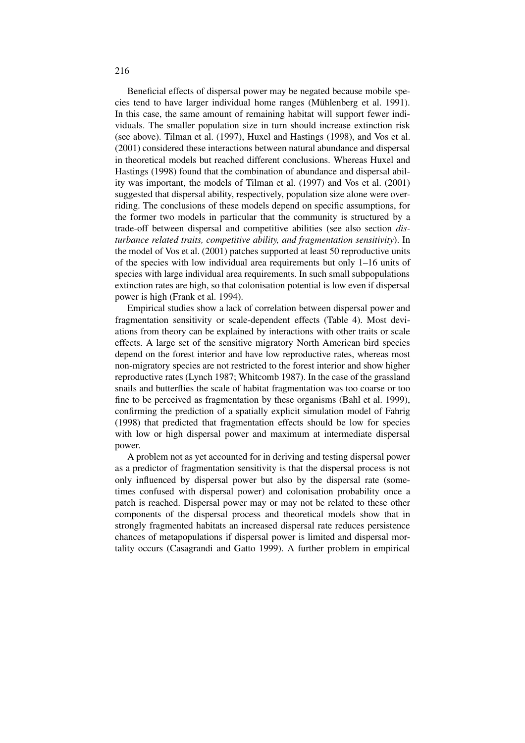Beneficial effects of dispersal power may be negated because mobile species tend to have larger individual home ranges (Mühlenberg et al. 1991). In this case, the same amount of remaining habitat will support fewer individuals. The smaller population size in turn should increase extinction risk (see above). Tilman et al. (1997), Huxel and Hastings (1998), and Vos et al. (2001) considered these interactions between natural abundance and dispersal in theoretical models but reached different conclusions. Whereas Huxel and Hastings (1998) found that the combination of abundance and dispersal ability was important, the models of Tilman et al. (1997) and Vos et al. (2001) suggested that dispersal ability, respectively, population size alone were overriding. The conclusions of these models depend on specific assumptions, for the former two models in particular that the community is structured by a trade-off between dispersal and competitive abilities (see also section *disturbance related traits, competitive ability, and fragmentation sensitivity*). In the model of Vos et al. (2001) patches supported at least 50 reproductive units of the species with low individual area requirements but only 1–16 units of species with large individual area requirements. In such small subpopulations extinction rates are high, so that colonisation potential is low even if dispersal power is high (Frank et al. 1994).

Empirical studies show a lack of correlation between dispersal power and fragmentation sensitivity or scale-dependent effects (Table 4). Most deviations from theory can be explained by interactions with other traits or scale effects. A large set of the sensitive migratory North American bird species depend on the forest interior and have low reproductive rates, whereas most non-migratory species are not restricted to the forest interior and show higher reproductive rates (Lynch 1987; Whitcomb 1987). In the case of the grassland snails and butterflies the scale of habitat fragmentation was too coarse or too fine to be perceived as fragmentation by these organisms (Bahl et al. 1999), confirming the prediction of a spatially explicit simulation model of Fahrig (1998) that predicted that fragmentation effects should be low for species with low or high dispersal power and maximum at intermediate dispersal power.

A problem not as yet accounted for in deriving and testing dispersal power as a predictor of fragmentation sensitivity is that the dispersal process is not only influenced by dispersal power but also by the dispersal rate (sometimes confused with dispersal power) and colonisation probability once a patch is reached. Dispersal power may or may not be related to these other components of the dispersal process and theoretical models show that in strongly fragmented habitats an increased dispersal rate reduces persistence chances of metapopulations if dispersal power is limited and dispersal mortality occurs (Casagrandi and Gatto 1999). A further problem in empirical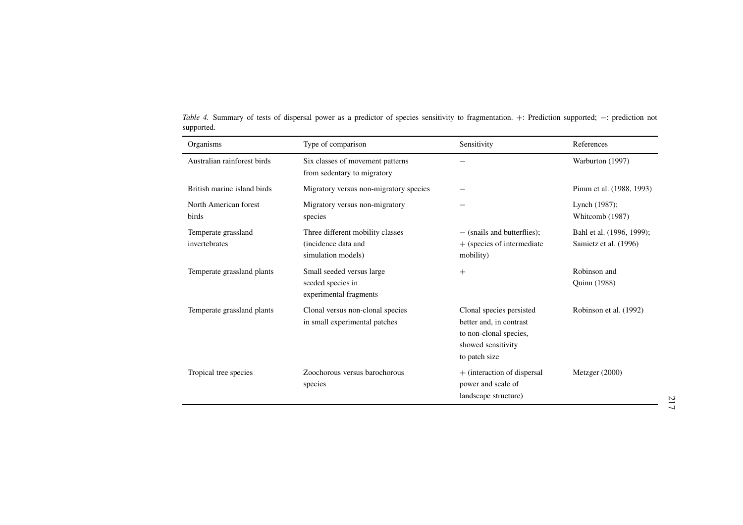| Organisms                            | Type of comparison                                                            | Sensitivity                                                                                                          | References                                         |
|--------------------------------------|-------------------------------------------------------------------------------|----------------------------------------------------------------------------------------------------------------------|----------------------------------------------------|
| Australian rainforest birds          | Six classes of movement patterns<br>from sedentary to migratory               |                                                                                                                      | Warburton (1997)                                   |
| British marine island birds          | Migratory versus non-migratory species                                        |                                                                                                                      | Pimm et al. (1988, 1993)                           |
| North American forest<br>birds       | Migratory versus non-migratory<br>species                                     |                                                                                                                      | Lynch (1987);<br>Whitcomb (1987)                   |
| Temperate grassland<br>invertebrates | Three different mobility classes<br>(incidence data and<br>simulation models) | $-$ (snails and butterflies);<br>+ (species of intermediate<br>mobility)                                             | Bahl et al. (1996, 1999);<br>Samietz et al. (1996) |
| Temperate grassland plants           | Small seeded versus large<br>seeded species in<br>experimental fragments      | $^{+}$                                                                                                               | Robinson and<br>Quinn (1988)                       |
| Temperate grassland plants           | Clonal versus non-clonal species<br>in small experimental patches             | Clonal species persisted<br>better and, in contrast<br>to non-clonal species,<br>showed sensitivity<br>to patch size | Robinson et al. (1992)                             |
| Tropical tree species                | Zoochorous versus barochorous<br>species                                      | $+$ (interaction of dispersal<br>power and scale of<br>landscape structure)                                          | Metzger $(2000)$                                   |

*Table 4.* Summary of tests of dispersal power as <sup>a</sup> predictor of species sensitivity to fragmentation. +: Prediction supported; <sup>−</sup>: prediction not supported.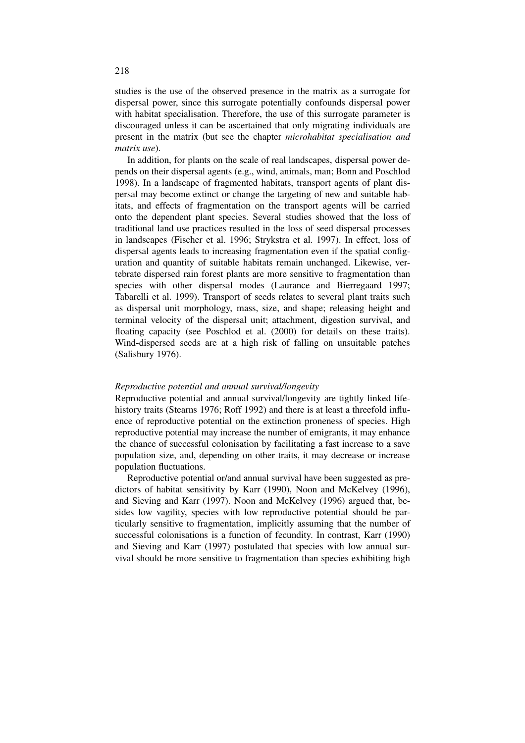studies is the use of the observed presence in the matrix as a surrogate for dispersal power, since this surrogate potentially confounds dispersal power with habitat specialisation. Therefore, the use of this surrogate parameter is discouraged unless it can be ascertained that only migrating individuals are present in the matrix (but see the chapter *microhabitat specialisation and matrix use*).

In addition, for plants on the scale of real landscapes, dispersal power depends on their dispersal agents (e.g., wind, animals, man; Bonn and Poschlod 1998). In a landscape of fragmented habitats, transport agents of plant dispersal may become extinct or change the targeting of new and suitable habitats, and effects of fragmentation on the transport agents will be carried onto the dependent plant species. Several studies showed that the loss of traditional land use practices resulted in the loss of seed dispersal processes in landscapes (Fischer et al. 1996; Strykstra et al. 1997). In effect, loss of dispersal agents leads to increasing fragmentation even if the spatial configuration and quantity of suitable habitats remain unchanged. Likewise, vertebrate dispersed rain forest plants are more sensitive to fragmentation than species with other dispersal modes (Laurance and Bierregaard 1997; Tabarelli et al. 1999). Transport of seeds relates to several plant traits such as dispersal unit morphology, mass, size, and shape; releasing height and terminal velocity of the dispersal unit; attachment, digestion survival, and floating capacity (see Poschlod et al. (2000) for details on these traits). Wind-dispersed seeds are at a high risk of falling on unsuitable patches (Salisbury 1976).

# *Reproductive potential and annual survival/longevity*

Reproductive potential and annual survival/longevity are tightly linked lifehistory traits (Stearns 1976; Roff 1992) and there is at least a threefold influence of reproductive potential on the extinction proneness of species. High reproductive potential may increase the number of emigrants, it may enhance the chance of successful colonisation by facilitating a fast increase to a save population size, and, depending on other traits, it may decrease or increase population fluctuations.

Reproductive potential or/and annual survival have been suggested as predictors of habitat sensitivity by Karr (1990), Noon and McKelvey (1996), and Sieving and Karr (1997). Noon and McKelvey (1996) argued that, besides low vagility, species with low reproductive potential should be particularly sensitive to fragmentation, implicitly assuming that the number of successful colonisations is a function of fecundity. In contrast, Karr (1990) and Sieving and Karr (1997) postulated that species with low annual survival should be more sensitive to fragmentation than species exhibiting high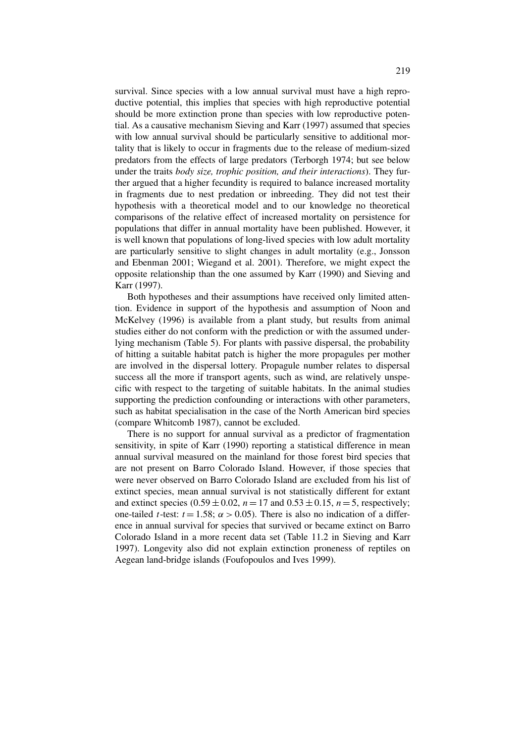survival. Since species with a low annual survival must have a high reproductive potential, this implies that species with high reproductive potential should be more extinction prone than species with low reproductive potential. As a causative mechanism Sieving and Karr (1997) assumed that species with low annual survival should be particularly sensitive to additional mortality that is likely to occur in fragments due to the release of medium-sized predators from the effects of large predators (Terborgh 1974; but see below under the traits *body size, trophic position, and their interactions*). They further argued that a higher fecundity is required to balance increased mortality in fragments due to nest predation or inbreeding. They did not test their hypothesis with a theoretical model and to our knowledge no theoretical comparisons of the relative effect of increased mortality on persistence for populations that differ in annual mortality have been published. However, it is well known that populations of long-lived species with low adult mortality are particularly sensitive to slight changes in adult mortality (e.g., Jonsson and Ebenman 2001; Wiegand et al. 2001). Therefore, we might expect the opposite relationship than the one assumed by Karr (1990) and Sieving and Karr (1997).

Both hypotheses and their assumptions have received only limited attention. Evidence in support of the hypothesis and assumption of Noon and McKelvey (1996) is available from a plant study, but results from animal studies either do not conform with the prediction or with the assumed underlying mechanism (Table 5). For plants with passive dispersal, the probability of hitting a suitable habitat patch is higher the more propagules per mother are involved in the dispersal lottery. Propagule number relates to dispersal success all the more if transport agents, such as wind, are relatively unspecific with respect to the targeting of suitable habitats. In the animal studies supporting the prediction confounding or interactions with other parameters, such as habitat specialisation in the case of the North American bird species (compare Whitcomb 1987), cannot be excluded.

There is no support for annual survival as a predictor of fragmentation sensitivity, in spite of Karr (1990) reporting a statistical difference in mean annual survival measured on the mainland for those forest bird species that are not present on Barro Colorado Island. However, if those species that were never observed on Barro Colorado Island are excluded from his list of extinct species, mean annual survival is not statistically different for extant and extinct species  $(0.59 \pm 0.02, n = 17 \text{ and } 0.53 \pm 0.15, n = 5$ , respectively; one-tailed *t*-test:  $t = 1.58$ ;  $\alpha > 0.05$ ). There is also no indication of a difference in annual survival for species that survived or became extinct on Barro Colorado Island in a more recent data set (Table 11.2 in Sieving and Karr 1997). Longevity also did not explain extinction proneness of reptiles on Aegean land-bridge islands (Foufopoulos and Ives 1999).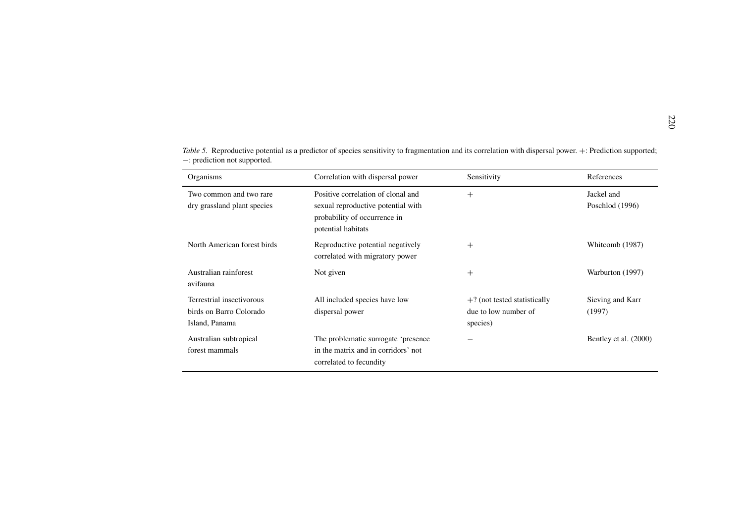| Organisms                                                              | Correlation with dispersal power                                                                                               | Sensitivity                                                         | References                    |
|------------------------------------------------------------------------|--------------------------------------------------------------------------------------------------------------------------------|---------------------------------------------------------------------|-------------------------------|
| Two common and two rare<br>dry grassland plant species                 | Positive correlation of clonal and<br>sexual reproductive potential with<br>probability of occurrence in<br>potential habitats | $+$                                                                 | Jackel and<br>Poschlod (1996) |
| North American forest birds                                            | Reproductive potential negatively<br>correlated with migratory power                                                           | $^{+}$                                                              | Whitcomb (1987)               |
| Australian rainforest<br>avifauna                                      | Not given                                                                                                                      | $^{+}$                                                              | Warburton (1997)              |
| Terrestrial insectivorous<br>birds on Barro Colorado<br>Island, Panama | All included species have low<br>dispersal power                                                                               | $+$ ? (not tested statistically<br>due to low number of<br>species) | Sieving and Karr<br>(1997)    |
| Australian subtropical<br>forest mammals                               | The problematic surrogate 'presence'<br>in the matrix and in corridors' not<br>correlated to fecundity                         |                                                                     | Bentley et al. (2000)         |

*Table 5.* Reproductive potential as <sup>a</sup> predictor of species sensitivity to fragmentation and its correlation with dispersal power. +: Prediction supported; <sup>−</sup>: prediction not supported.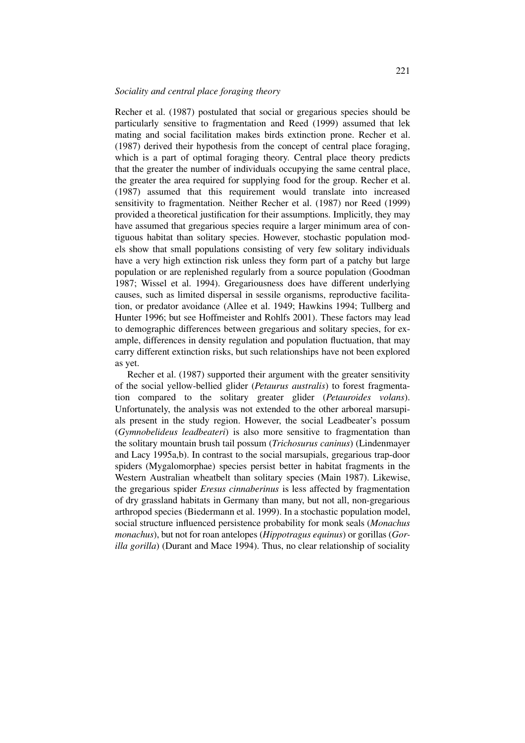Recher et al. (1987) postulated that social or gregarious species should be particularly sensitive to fragmentation and Reed (1999) assumed that lek mating and social facilitation makes birds extinction prone. Recher et al. (1987) derived their hypothesis from the concept of central place foraging, which is a part of optimal foraging theory. Central place theory predicts that the greater the number of individuals occupying the same central place, the greater the area required for supplying food for the group. Recher et al. (1987) assumed that this requirement would translate into increased sensitivity to fragmentation. Neither Recher et al. (1987) nor Reed (1999) provided a theoretical justification for their assumptions. Implicitly, they may have assumed that gregarious species require a larger minimum area of contiguous habitat than solitary species. However, stochastic population models show that small populations consisting of very few solitary individuals have a very high extinction risk unless they form part of a patchy but large population or are replenished regularly from a source population (Goodman 1987; Wissel et al. 1994). Gregariousness does have different underlying causes, such as limited dispersal in sessile organisms, reproductive facilitation, or predator avoidance (Allee et al. 1949; Hawkins 1994; Tullberg and Hunter 1996; but see Hoffmeister and Rohlfs 2001). These factors may lead to demographic differences between gregarious and solitary species, for example, differences in density regulation and population fluctuation, that may carry different extinction risks, but such relationships have not been explored as yet.

Recher et al. (1987) supported their argument with the greater sensitivity of the social yellow-bellied glider (*Petaurus australis*) to forest fragmentation compared to the solitary greater glider (*Petauroides volans*). Unfortunately, the analysis was not extended to the other arboreal marsupials present in the study region. However, the social Leadbeater's possum (*Gymnobelideus leadbeateri*) is also more sensitive to fragmentation than the solitary mountain brush tail possum (*Trichosurus caninus*) (Lindenmayer and Lacy 1995a,b). In contrast to the social marsupials, gregarious trap-door spiders (Mygalomorphae) species persist better in habitat fragments in the Western Australian wheatbelt than solitary species (Main 1987). Likewise, the gregarious spider *Eresus cinnaberinus* is less affected by fragmentation of dry grassland habitats in Germany than many, but not all, non-gregarious arthropod species (Biedermann et al. 1999). In a stochastic population model, social structure influenced persistence probability for monk seals (*Monachus monachus*), but not for roan antelopes (*Hippotragus equinus*) or gorillas (*Gorilla gorilla*) (Durant and Mace 1994). Thus, no clear relationship of sociality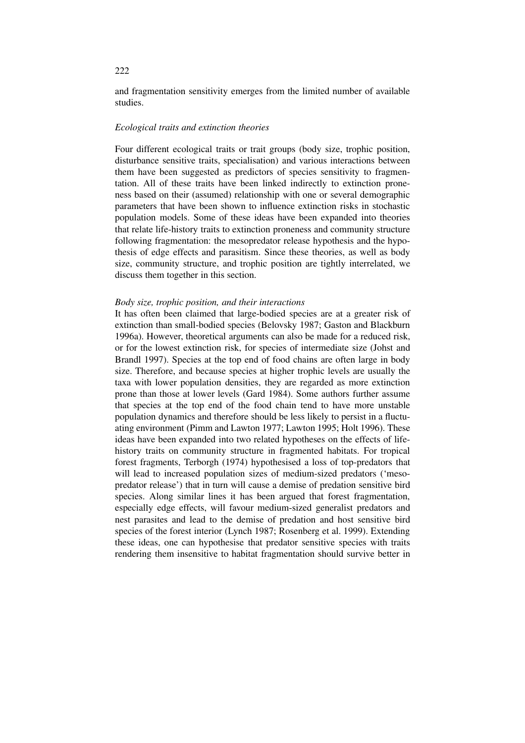and fragmentation sensitivity emerges from the limited number of available studies.

## *Ecological traits and extinction theories*

Four different ecological traits or trait groups (body size, trophic position, disturbance sensitive traits, specialisation) and various interactions between them have been suggested as predictors of species sensitivity to fragmentation. All of these traits have been linked indirectly to extinction proneness based on their (assumed) relationship with one or several demographic parameters that have been shown to influence extinction risks in stochastic population models. Some of these ideas have been expanded into theories that relate life-history traits to extinction proneness and community structure following fragmentation: the mesopredator release hypothesis and the hypothesis of edge effects and parasitism. Since these theories, as well as body size, community structure, and trophic position are tightly interrelated, we discuss them together in this section.

#### *Body size, trophic position, and their interactions*

It has often been claimed that large-bodied species are at a greater risk of extinction than small-bodied species (Belovsky 1987; Gaston and Blackburn 1996a). However, theoretical arguments can also be made for a reduced risk, or for the lowest extinction risk, for species of intermediate size (Johst and Brandl 1997). Species at the top end of food chains are often large in body size. Therefore, and because species at higher trophic levels are usually the taxa with lower population densities, they are regarded as more extinction prone than those at lower levels (Gard 1984). Some authors further assume that species at the top end of the food chain tend to have more unstable population dynamics and therefore should be less likely to persist in a fluctuating environment (Pimm and Lawton 1977; Lawton 1995; Holt 1996). These ideas have been expanded into two related hypotheses on the effects of lifehistory traits on community structure in fragmented habitats. For tropical forest fragments, Terborgh (1974) hypothesised a loss of top-predators that will lead to increased population sizes of medium-sized predators ('mesopredator release') that in turn will cause a demise of predation sensitive bird species. Along similar lines it has been argued that forest fragmentation, especially edge effects, will favour medium-sized generalist predators and nest parasites and lead to the demise of predation and host sensitive bird species of the forest interior (Lynch 1987; Rosenberg et al. 1999). Extending these ideas, one can hypothesise that predator sensitive species with traits rendering them insensitive to habitat fragmentation should survive better in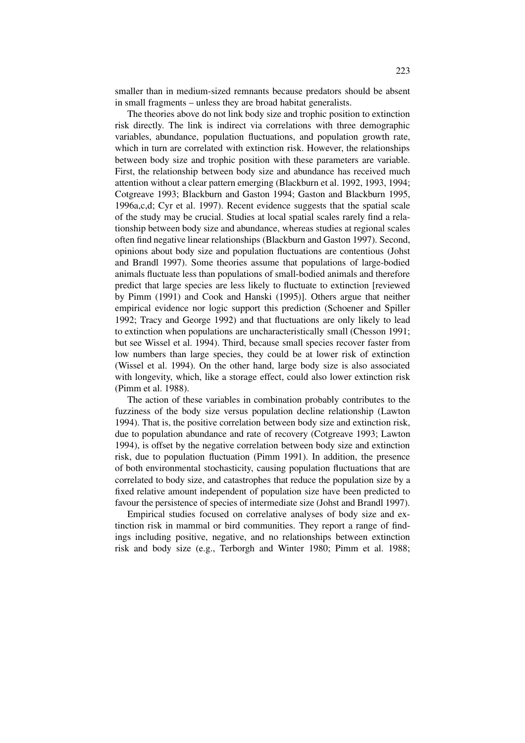smaller than in medium-sized remnants because predators should be absent in small fragments – unless they are broad habitat generalists.

The theories above do not link body size and trophic position to extinction risk directly. The link is indirect via correlations with three demographic variables, abundance, population fluctuations, and population growth rate, which in turn are correlated with extinction risk. However, the relationships between body size and trophic position with these parameters are variable. First, the relationship between body size and abundance has received much attention without a clear pattern emerging (Blackburn et al. 1992, 1993, 1994; Cotgreave 1993; Blackburn and Gaston 1994; Gaston and Blackburn 1995, 1996a,c,d; Cyr et al. 1997). Recent evidence suggests that the spatial scale of the study may be crucial. Studies at local spatial scales rarely find a relationship between body size and abundance, whereas studies at regional scales often find negative linear relationships (Blackburn and Gaston 1997). Second, opinions about body size and population fluctuations are contentious (Johst and Brandl 1997). Some theories assume that populations of large-bodied animals fluctuate less than populations of small-bodied animals and therefore predict that large species are less likely to fluctuate to extinction [reviewed by Pimm (1991) and Cook and Hanski (1995)]. Others argue that neither empirical evidence nor logic support this prediction (Schoener and Spiller 1992; Tracy and George 1992) and that fluctuations are only likely to lead to extinction when populations are uncharacteristically small (Chesson 1991; but see Wissel et al. 1994). Third, because small species recover faster from low numbers than large species, they could be at lower risk of extinction (Wissel et al. 1994). On the other hand, large body size is also associated with longevity, which, like a storage effect, could also lower extinction risk (Pimm et al. 1988).

The action of these variables in combination probably contributes to the fuzziness of the body size versus population decline relationship (Lawton 1994). That is, the positive correlation between body size and extinction risk, due to population abundance and rate of recovery (Cotgreave 1993; Lawton 1994), is offset by the negative correlation between body size and extinction risk, due to population fluctuation (Pimm 1991). In addition, the presence of both environmental stochasticity, causing population fluctuations that are correlated to body size, and catastrophes that reduce the population size by a fixed relative amount independent of population size have been predicted to favour the persistence of species of intermediate size (Johst and Brandl 1997).

Empirical studies focused on correlative analyses of body size and extinction risk in mammal or bird communities. They report a range of findings including positive, negative, and no relationships between extinction risk and body size (e.g., Terborgh and Winter 1980; Pimm et al. 1988;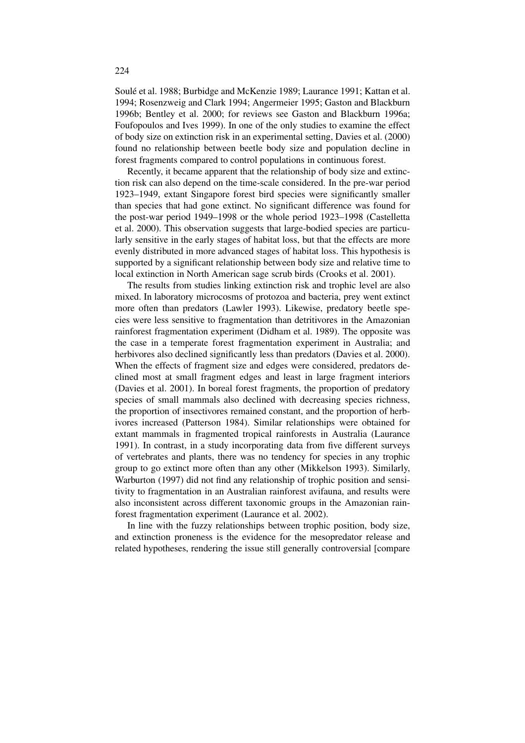Soulé et al. 1988; Burbidge and McKenzie 1989; Laurance 1991; Kattan et al. 1994; Rosenzweig and Clark 1994; Angermeier 1995; Gaston and Blackburn 1996b; Bentley et al. 2000; for reviews see Gaston and Blackburn 1996a; Foufopoulos and Ives 1999). In one of the only studies to examine the effect of body size on extinction risk in an experimental setting, Davies et al. (2000) found no relationship between beetle body size and population decline in forest fragments compared to control populations in continuous forest.

Recently, it became apparent that the relationship of body size and extinction risk can also depend on the time-scale considered. In the pre-war period 1923–1949, extant Singapore forest bird species were significantly smaller than species that had gone extinct. No significant difference was found for the post-war period 1949–1998 or the whole period 1923–1998 (Castelletta et al. 2000). This observation suggests that large-bodied species are particularly sensitive in the early stages of habitat loss, but that the effects are more evenly distributed in more advanced stages of habitat loss. This hypothesis is supported by a significant relationship between body size and relative time to local extinction in North American sage scrub birds (Crooks et al. 2001).

The results from studies linking extinction risk and trophic level are also mixed. In laboratory microcosms of protozoa and bacteria, prey went extinct more often than predators (Lawler 1993). Likewise, predatory beetle species were less sensitive to fragmentation than detritivores in the Amazonian rainforest fragmentation experiment (Didham et al. 1989). The opposite was the case in a temperate forest fragmentation experiment in Australia; and herbivores also declined significantly less than predators (Davies et al. 2000). When the effects of fragment size and edges were considered, predators declined most at small fragment edges and least in large fragment interiors (Davies et al. 2001). In boreal forest fragments, the proportion of predatory species of small mammals also declined with decreasing species richness, the proportion of insectivores remained constant, and the proportion of herbivores increased (Patterson 1984). Similar relationships were obtained for extant mammals in fragmented tropical rainforests in Australia (Laurance 1991). In contrast, in a study incorporating data from five different surveys of vertebrates and plants, there was no tendency for species in any trophic group to go extinct more often than any other (Mikkelson 1993). Similarly, Warburton (1997) did not find any relationship of trophic position and sensitivity to fragmentation in an Australian rainforest avifauna, and results were also inconsistent across different taxonomic groups in the Amazonian rainforest fragmentation experiment (Laurance et al. 2002).

In line with the fuzzy relationships between trophic position, body size, and extinction proneness is the evidence for the mesopredator release and related hypotheses, rendering the issue still generally controversial [compare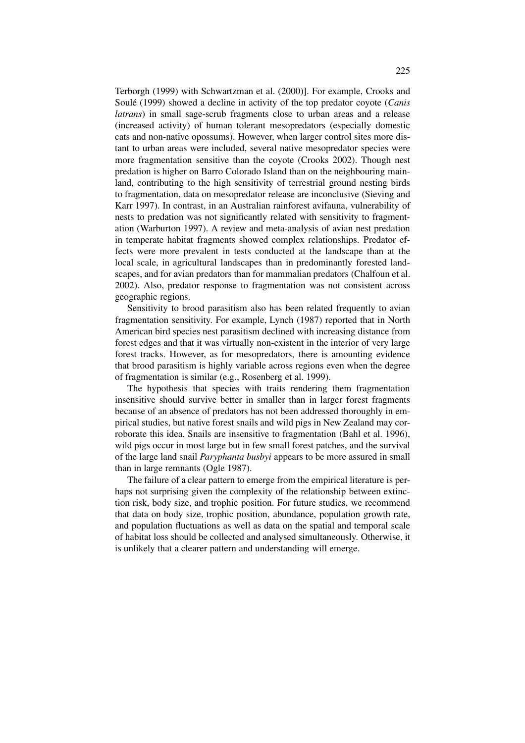Terborgh (1999) with Schwartzman et al. (2000)]. For example, Crooks and Soulé (1999) showed a decline in activity of the top predator coyote (*Canis latrans*) in small sage-scrub fragments close to urban areas and a release (increased activity) of human tolerant mesopredators (especially domestic cats and non-native opossums). However, when larger control sites more distant to urban areas were included, several native mesopredator species were more fragmentation sensitive than the coyote (Crooks 2002). Though nest predation is higher on Barro Colorado Island than on the neighbouring mainland, contributing to the high sensitivity of terrestrial ground nesting birds to fragmentation, data on mesopredator release are inconclusive (Sieving and Karr 1997). In contrast, in an Australian rainforest avifauna, vulnerability of nests to predation was not significantly related with sensitivity to fragmentation (Warburton 1997). A review and meta-analysis of avian nest predation in temperate habitat fragments showed complex relationships. Predator effects were more prevalent in tests conducted at the landscape than at the local scale, in agricultural landscapes than in predominantly forested landscapes, and for avian predators than for mammalian predators (Chalfoun et al. 2002). Also, predator response to fragmentation was not consistent across geographic regions.

Sensitivity to brood parasitism also has been related frequently to avian fragmentation sensitivity. For example, Lynch (1987) reported that in North American bird species nest parasitism declined with increasing distance from forest edges and that it was virtually non-existent in the interior of very large forest tracks. However, as for mesopredators, there is amounting evidence that brood parasitism is highly variable across regions even when the degree of fragmentation is similar (e.g., Rosenberg et al. 1999).

The hypothesis that species with traits rendering them fragmentation insensitive should survive better in smaller than in larger forest fragments because of an absence of predators has not been addressed thoroughly in empirical studies, but native forest snails and wild pigs in New Zealand may corroborate this idea. Snails are insensitive to fragmentation (Bahl et al. 1996), wild pigs occur in most large but in few small forest patches, and the survival of the large land snail *Paryphanta busbyi* appears to be more assured in small than in large remnants (Ogle 1987).

The failure of a clear pattern to emerge from the empirical literature is perhaps not surprising given the complexity of the relationship between extinction risk, body size, and trophic position. For future studies, we recommend that data on body size, trophic position, abundance, population growth rate, and population fluctuations as well as data on the spatial and temporal scale of habitat loss should be collected and analysed simultaneously. Otherwise, it is unlikely that a clearer pattern and understanding will emerge.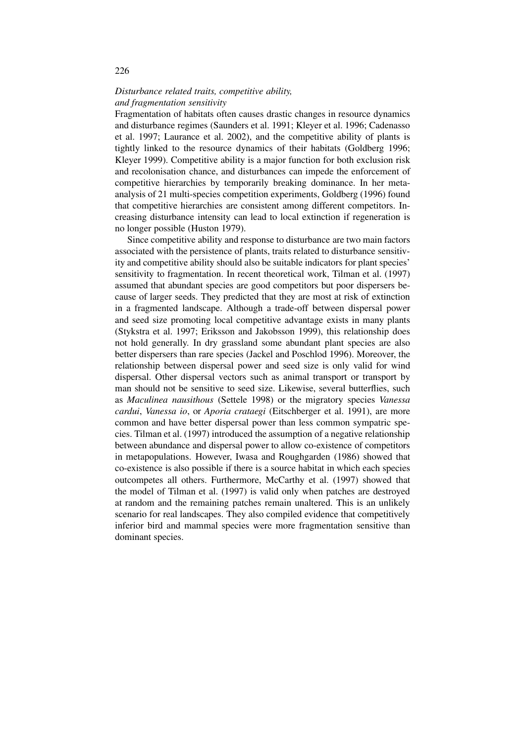# *Disturbance related traits, competitive ability, and fragmentation sensitivity*

Fragmentation of habitats often causes drastic changes in resource dynamics and disturbance regimes (Saunders et al. 1991; Kleyer et al. 1996; Cadenasso et al. 1997; Laurance et al. 2002), and the competitive ability of plants is tightly linked to the resource dynamics of their habitats (Goldberg 1996; Kleyer 1999). Competitive ability is a major function for both exclusion risk and recolonisation chance, and disturbances can impede the enforcement of competitive hierarchies by temporarily breaking dominance. In her metaanalysis of 21 multi-species competition experiments, Goldberg (1996) found that competitive hierarchies are consistent among different competitors. Increasing disturbance intensity can lead to local extinction if regeneration is no longer possible (Huston 1979).

Since competitive ability and response to disturbance are two main factors associated with the persistence of plants, traits related to disturbance sensitivity and competitive ability should also be suitable indicators for plant species' sensitivity to fragmentation. In recent theoretical work, Tilman et al. (1997) assumed that abundant species are good competitors but poor dispersers because of larger seeds. They predicted that they are most at risk of extinction in a fragmented landscape. Although a trade-off between dispersal power and seed size promoting local competitive advantage exists in many plants (Stykstra et al. 1997; Eriksson and Jakobsson 1999), this relationship does not hold generally. In dry grassland some abundant plant species are also better dispersers than rare species (Jackel and Poschlod 1996). Moreover, the relationship between dispersal power and seed size is only valid for wind dispersal. Other dispersal vectors such as animal transport or transport by man should not be sensitive to seed size. Likewise, several butterflies, such as *Maculinea nausithous* (Settele 1998) or the migratory species *Vanessa cardui*, *Vanessa io*, or *Aporia crataegi* (Eitschberger et al. 1991), are more common and have better dispersal power than less common sympatric species. Tilman et al. (1997) introduced the assumption of a negative relationship between abundance and dispersal power to allow co-existence of competitors in metapopulations. However, Iwasa and Roughgarden (1986) showed that co-existence is also possible if there is a source habitat in which each species outcompetes all others. Furthermore, McCarthy et al. (1997) showed that the model of Tilman et al. (1997) is valid only when patches are destroyed at random and the remaining patches remain unaltered. This is an unlikely scenario for real landscapes. They also compiled evidence that competitively inferior bird and mammal species were more fragmentation sensitive than dominant species.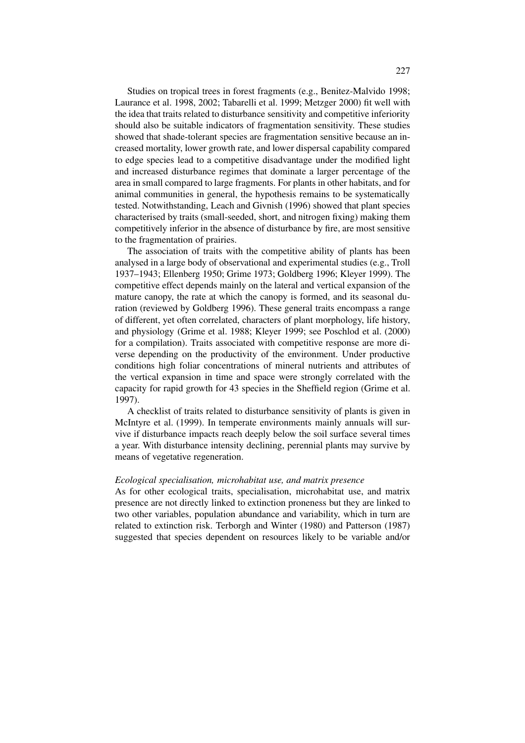Studies on tropical trees in forest fragments (e.g., Benitez-Malvido 1998; Laurance et al. 1998, 2002; Tabarelli et al. 1999; Metzger 2000) fit well with the idea that traits related to disturbance sensitivity and competitive inferiority should also be suitable indicators of fragmentation sensitivity. These studies showed that shade-tolerant species are fragmentation sensitive because an increased mortality, lower growth rate, and lower dispersal capability compared to edge species lead to a competitive disadvantage under the modified light and increased disturbance regimes that dominate a larger percentage of the area in small compared to large fragments. For plants in other habitats, and for animal communities in general, the hypothesis remains to be systematically tested. Notwithstanding, Leach and Givnish (1996) showed that plant species characterised by traits (small-seeded, short, and nitrogen fixing) making them competitively inferior in the absence of disturbance by fire, are most sensitive to the fragmentation of prairies.

The association of traits with the competitive ability of plants has been analysed in a large body of observational and experimental studies (e.g., Troll 1937–1943; Ellenberg 1950; Grime 1973; Goldberg 1996; Kleyer 1999). The competitive effect depends mainly on the lateral and vertical expansion of the mature canopy, the rate at which the canopy is formed, and its seasonal duration (reviewed by Goldberg 1996). These general traits encompass a range of different, yet often correlated, characters of plant morphology, life history, and physiology (Grime et al. 1988; Kleyer 1999; see Poschlod et al. (2000) for a compilation). Traits associated with competitive response are more diverse depending on the productivity of the environment. Under productive conditions high foliar concentrations of mineral nutrients and attributes of the vertical expansion in time and space were strongly correlated with the capacity for rapid growth for 43 species in the Sheffield region (Grime et al. 1997).

A checklist of traits related to disturbance sensitivity of plants is given in McIntyre et al. (1999). In temperate environments mainly annuals will survive if disturbance impacts reach deeply below the soil surface several times a year. With disturbance intensity declining, perennial plants may survive by means of vegetative regeneration.

# *Ecological specialisation, microhabitat use, and matrix presence*

As for other ecological traits, specialisation, microhabitat use, and matrix presence are not directly linked to extinction proneness but they are linked to two other variables, population abundance and variability, which in turn are related to extinction risk. Terborgh and Winter (1980) and Patterson (1987) suggested that species dependent on resources likely to be variable and/or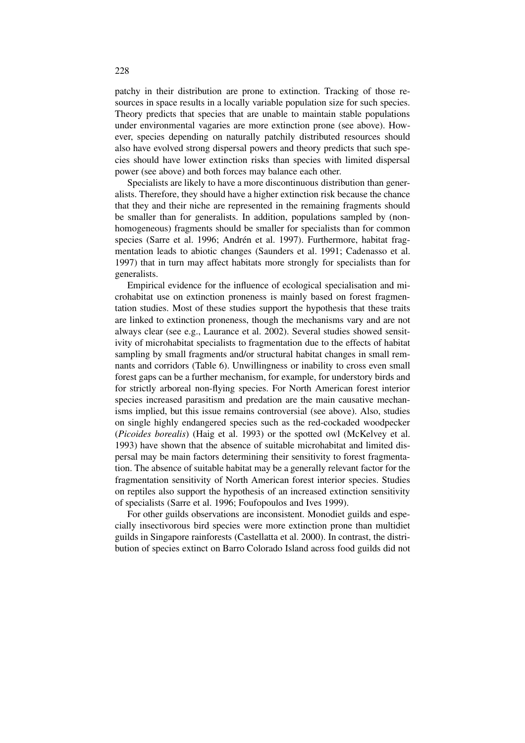patchy in their distribution are prone to extinction. Tracking of those resources in space results in a locally variable population size for such species. Theory predicts that species that are unable to maintain stable populations under environmental vagaries are more extinction prone (see above). However, species depending on naturally patchily distributed resources should also have evolved strong dispersal powers and theory predicts that such species should have lower extinction risks than species with limited dispersal power (see above) and both forces may balance each other.

Specialists are likely to have a more discontinuous distribution than generalists. Therefore, they should have a higher extinction risk because the chance that they and their niche are represented in the remaining fragments should be smaller than for generalists. In addition, populations sampled by (nonhomogeneous) fragments should be smaller for specialists than for common species (Sarre et al. 1996; Andrén et al. 1997). Furthermore, habitat fragmentation leads to abiotic changes (Saunders et al. 1991; Cadenasso et al. 1997) that in turn may affect habitats more strongly for specialists than for generalists.

Empirical evidence for the influence of ecological specialisation and microhabitat use on extinction proneness is mainly based on forest fragmentation studies. Most of these studies support the hypothesis that these traits are linked to extinction proneness, though the mechanisms vary and are not always clear (see e.g., Laurance et al. 2002). Several studies showed sensitivity of microhabitat specialists to fragmentation due to the effects of habitat sampling by small fragments and/or structural habitat changes in small remnants and corridors (Table 6). Unwillingness or inability to cross even small forest gaps can be a further mechanism, for example, for understory birds and for strictly arboreal non-flying species. For North American forest interior species increased parasitism and predation are the main causative mechanisms implied, but this issue remains controversial (see above). Also, studies on single highly endangered species such as the red-cockaded woodpecker (*Picoides borealis*) (Haig et al. 1993) or the spotted owl (McKelvey et al. 1993) have shown that the absence of suitable microhabitat and limited dispersal may be main factors determining their sensitivity to forest fragmentation. The absence of suitable habitat may be a generally relevant factor for the fragmentation sensitivity of North American forest interior species. Studies on reptiles also support the hypothesis of an increased extinction sensitivity of specialists (Sarre et al. 1996; Foufopoulos and Ives 1999).

For other guilds observations are inconsistent. Monodiet guilds and especially insectivorous bird species were more extinction prone than multidiet guilds in Singapore rainforests (Castellatta et al. 2000). In contrast, the distribution of species extinct on Barro Colorado Island across food guilds did not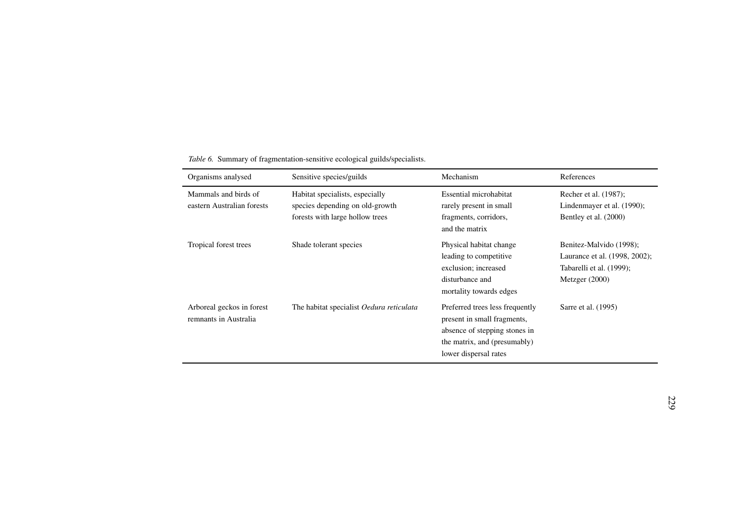*Table 6.* Summary of fragmentation-sensitive ecological guilds/specialists.

| Organisms analysed                                 | Sensitive species/guilds                                                                              | Mechanism                                                                                                                                                | References                                                                                               |
|----------------------------------------------------|-------------------------------------------------------------------------------------------------------|----------------------------------------------------------------------------------------------------------------------------------------------------------|----------------------------------------------------------------------------------------------------------|
| Mammals and birds of<br>eastern Australian forests | Habitat specialists, especially<br>species depending on old-growth<br>forests with large hollow trees | Essential microhabitat<br>rarely present in small<br>fragments, corridors,<br>and the matrix                                                             | Recher et al. (1987);<br>Lindenmayer et al. (1990);<br>Bentley et al. (2000)                             |
| Tropical forest trees                              | Shade tolerant species                                                                                | Physical habitat change<br>leading to competitive<br>exclusion; increased<br>disturbance and<br>mortality towards edges                                  | Benitez-Malvido (1998);<br>Laurance et al. (1998, 2002);<br>Tabarelli et al. (1999);<br>Metzger $(2000)$ |
| Arboreal geckos in forest<br>remnants in Australia | The habitat specialist Oedura reticulata                                                              | Preferred trees less frequently<br>present in small fragments,<br>absence of stepping stones in<br>the matrix, and (presumably)<br>lower dispersal rates | Sarre et al. (1995)                                                                                      |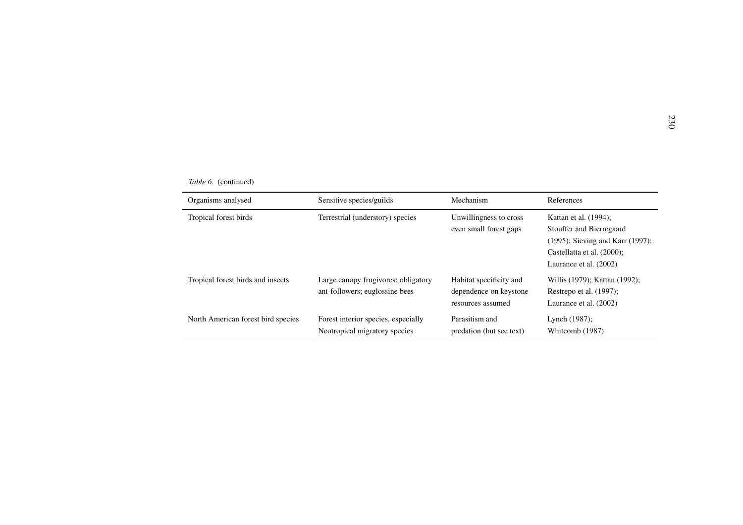*Table 6.* (continued)

| Organisms analysed                 | Sensitive species/guilds                                              | Mechanism                                                              | References                                                                                                                                    |
|------------------------------------|-----------------------------------------------------------------------|------------------------------------------------------------------------|-----------------------------------------------------------------------------------------------------------------------------------------------|
| Tropical forest birds              | Terrestrial (understory) species                                      | Unwillingness to cross<br>even small forest gaps                       | Kattan et al. (1994);<br>Stouffer and Bierregaard<br>(1995); Sieving and Karr (1997);<br>Castellatta et al. (2000);<br>Laurance et al. (2002) |
| Tropical forest birds and insects  | Large canopy frugivores; obligatory<br>ant-followers; euglossine bees | Habitat specificity and<br>dependence on keystone<br>resources assumed | Willis (1979); Kattan (1992);<br>Restrepo et al. $(1997)$ ;<br>Laurance et al. (2002)                                                         |
| North American forest bird species | Forest interior species, especially<br>Neotropical migratory species  | Parasitism and<br>predation (but see text)                             | Lynch $(1987)$ ;<br>Whitcomb (1987)                                                                                                           |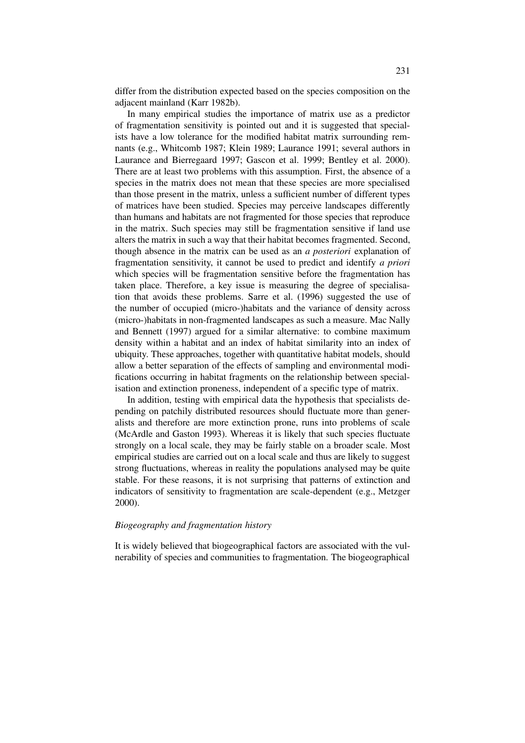differ from the distribution expected based on the species composition on the adjacent mainland (Karr 1982b).

In many empirical studies the importance of matrix use as a predictor of fragmentation sensitivity is pointed out and it is suggested that specialists have a low tolerance for the modified habitat matrix surrounding remnants (e.g., Whitcomb 1987; Klein 1989; Laurance 1991; several authors in Laurance and Bierregaard 1997; Gascon et al. 1999; Bentley et al. 2000). There are at least two problems with this assumption. First, the absence of a species in the matrix does not mean that these species are more specialised than those present in the matrix, unless a sufficient number of different types of matrices have been studied. Species may perceive landscapes differently than humans and habitats are not fragmented for those species that reproduce in the matrix. Such species may still be fragmentation sensitive if land use alters the matrix in such a way that their habitat becomes fragmented. Second, though absence in the matrix can be used as an *a posteriori* explanation of fragmentation sensitivity, it cannot be used to predict and identify *a priori* which species will be fragmentation sensitive before the fragmentation has taken place. Therefore, a key issue is measuring the degree of specialisation that avoids these problems. Sarre et al. (1996) suggested the use of the number of occupied (micro-)habitats and the variance of density across (micro-)habitats in non-fragmented landscapes as such a measure. Mac Nally and Bennett (1997) argued for a similar alternative: to combine maximum density within a habitat and an index of habitat similarity into an index of ubiquity. These approaches, together with quantitative habitat models, should allow a better separation of the effects of sampling and environmental modifications occurring in habitat fragments on the relationship between specialisation and extinction proneness, independent of a specific type of matrix.

In addition, testing with empirical data the hypothesis that specialists depending on patchily distributed resources should fluctuate more than generalists and therefore are more extinction prone, runs into problems of scale (McArdle and Gaston 1993). Whereas it is likely that such species fluctuate strongly on a local scale, they may be fairly stable on a broader scale. Most empirical studies are carried out on a local scale and thus are likely to suggest strong fluctuations, whereas in reality the populations analysed may be quite stable. For these reasons, it is not surprising that patterns of extinction and indicators of sensitivity to fragmentation are scale-dependent (e.g., Metzger 2000).

# *Biogeography and fragmentation history*

It is widely believed that biogeographical factors are associated with the vulnerability of species and communities to fragmentation. The biogeographical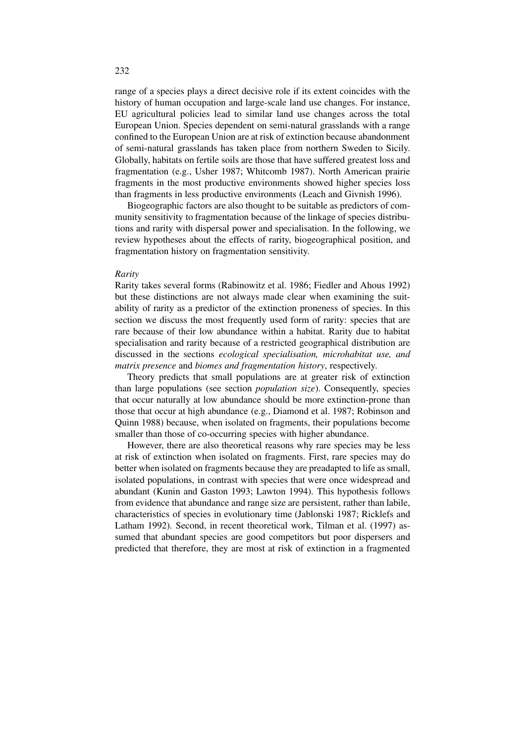range of a species plays a direct decisive role if its extent coincides with the history of human occupation and large-scale land use changes. For instance, EU agricultural policies lead to similar land use changes across the total European Union. Species dependent on semi-natural grasslands with a range confined to the European Union are at risk of extinction because abandonment of semi-natural grasslands has taken place from northern Sweden to Sicily. Globally, habitats on fertile soils are those that have suffered greatest loss and fragmentation (e.g., Usher 1987; Whitcomb 1987). North American prairie fragments in the most productive environments showed higher species loss than fragments in less productive environments (Leach and Givnish 1996).

Biogeographic factors are also thought to be suitable as predictors of community sensitivity to fragmentation because of the linkage of species distributions and rarity with dispersal power and specialisation. In the following, we review hypotheses about the effects of rarity, biogeographical position, and fragmentation history on fragmentation sensitivity.

#### *Rarity*

Rarity takes several forms (Rabinowitz et al. 1986; Fiedler and Ahous 1992) but these distinctions are not always made clear when examining the suitability of rarity as a predictor of the extinction proneness of species. In this section we discuss the most frequently used form of rarity: species that are rare because of their low abundance within a habitat. Rarity due to habitat specialisation and rarity because of a restricted geographical distribution are discussed in the sections *ecological specialisation, microhabitat use, and matrix presence* and *biomes and fragmentation history*, respectively.

Theory predicts that small populations are at greater risk of extinction than large populations (see section *population size*). Consequently, species that occur naturally at low abundance should be more extinction-prone than those that occur at high abundance (e.g., Diamond et al. 1987; Robinson and Quinn 1988) because, when isolated on fragments, their populations become smaller than those of co-occurring species with higher abundance.

However, there are also theoretical reasons why rare species may be less at risk of extinction when isolated on fragments. First, rare species may do better when isolated on fragments because they are preadapted to life as small, isolated populations, in contrast with species that were once widespread and abundant (Kunin and Gaston 1993; Lawton 1994). This hypothesis follows from evidence that abundance and range size are persistent, rather than labile, characteristics of species in evolutionary time (Jablonski 1987; Ricklefs and Latham 1992). Second, in recent theoretical work, Tilman et al. (1997) assumed that abundant species are good competitors but poor dispersers and predicted that therefore, they are most at risk of extinction in a fragmented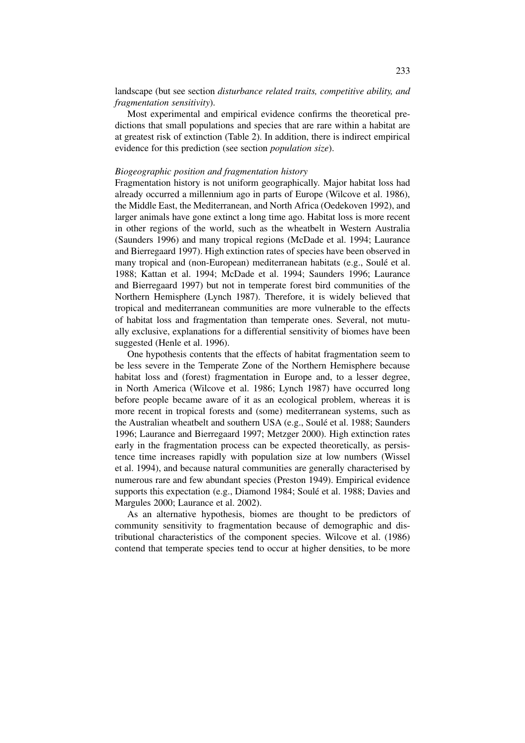landscape (but see section *disturbance related traits, competitive ability, and fragmentation sensitivity*).

Most experimental and empirical evidence confirms the theoretical predictions that small populations and species that are rare within a habitat are at greatest risk of extinction (Table 2). In addition, there is indirect empirical evidence for this prediction (see section *population size*).

# *Biogeographic position and fragmentation history*

Fragmentation history is not uniform geographically. Major habitat loss had already occurred a millennium ago in parts of Europe (Wilcove et al. 1986), the Middle East, the Mediterranean, and North Africa (Oedekoven 1992), and larger animals have gone extinct a long time ago. Habitat loss is more recent in other regions of the world, such as the wheatbelt in Western Australia (Saunders 1996) and many tropical regions (McDade et al. 1994; Laurance and Bierregaard 1997). High extinction rates of species have been observed in many tropical and (non-European) mediterranean habitats (e.g., Soulé et al. 1988; Kattan et al. 1994; McDade et al. 1994; Saunders 1996; Laurance and Bierregaard 1997) but not in temperate forest bird communities of the Northern Hemisphere (Lynch 1987). Therefore, it is widely believed that tropical and mediterranean communities are more vulnerable to the effects of habitat loss and fragmentation than temperate ones. Several, not mutually exclusive, explanations for a differential sensitivity of biomes have been suggested (Henle et al. 1996).

One hypothesis contents that the effects of habitat fragmentation seem to be less severe in the Temperate Zone of the Northern Hemisphere because habitat loss and (forest) fragmentation in Europe and, to a lesser degree, in North America (Wilcove et al. 1986; Lynch 1987) have occurred long before people became aware of it as an ecological problem, whereas it is more recent in tropical forests and (some) mediterranean systems, such as the Australian wheatbelt and southern USA (e.g., Soulé et al. 1988; Saunders 1996; Laurance and Bierregaard 1997; Metzger 2000). High extinction rates early in the fragmentation process can be expected theoretically, as persistence time increases rapidly with population size at low numbers (Wissel et al. 1994), and because natural communities are generally characterised by numerous rare and few abundant species (Preston 1949). Empirical evidence supports this expectation (e.g., Diamond 1984; Soulé et al. 1988; Davies and Margules 2000; Laurance et al. 2002).

As an alternative hypothesis, biomes are thought to be predictors of community sensitivity to fragmentation because of demographic and distributional characteristics of the component species. Wilcove et al. (1986) contend that temperate species tend to occur at higher densities, to be more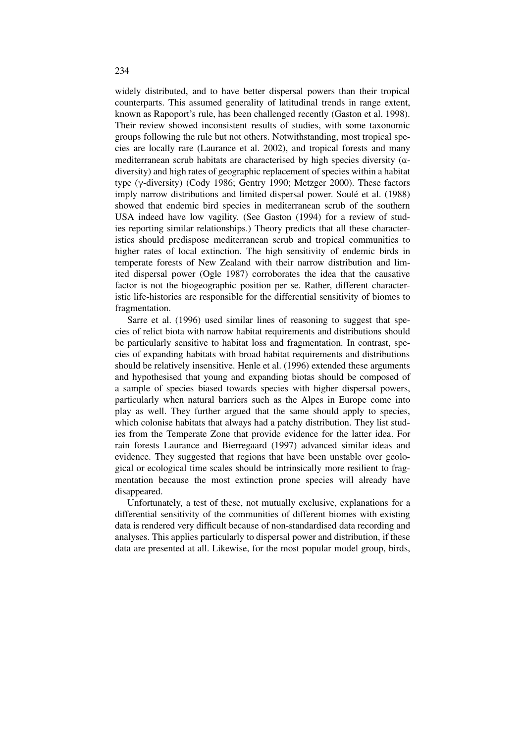widely distributed, and to have better dispersal powers than their tropical counterparts. This assumed generality of latitudinal trends in range extent, known as Rapoport's rule, has been challenged recently (Gaston et al. 1998). Their review showed inconsistent results of studies, with some taxonomic groups following the rule but not others. Notwithstanding, most tropical species are locally rare (Laurance et al. 2002), and tropical forests and many mediterranean scrub habitats are characterised by high species diversity (αdiversity) and high rates of geographic replacement of species within a habitat type (γ-diversity) (Cody 1986; Gentry 1990; Metzger 2000). These factors imply narrow distributions and limited dispersal power. Soulé et al. (1988) showed that endemic bird species in mediterranean scrub of the southern USA indeed have low vagility. (See Gaston (1994) for a review of studies reporting similar relationships.) Theory predicts that all these characteristics should predispose mediterranean scrub and tropical communities to higher rates of local extinction. The high sensitivity of endemic birds in temperate forests of New Zealand with their narrow distribution and limited dispersal power (Ogle 1987) corroborates the idea that the causative factor is not the biogeographic position per se. Rather, different characteristic life-histories are responsible for the differential sensitivity of biomes to fragmentation.

Sarre et al. (1996) used similar lines of reasoning to suggest that species of relict biota with narrow habitat requirements and distributions should be particularly sensitive to habitat loss and fragmentation. In contrast, species of expanding habitats with broad habitat requirements and distributions should be relatively insensitive. Henle et al. (1996) extended these arguments and hypothesised that young and expanding biotas should be composed of a sample of species biased towards species with higher dispersal powers, particularly when natural barriers such as the Alpes in Europe come into play as well. They further argued that the same should apply to species, which colonise habitats that always had a patchy distribution. They list studies from the Temperate Zone that provide evidence for the latter idea. For rain forests Laurance and Bierregaard (1997) advanced similar ideas and evidence. They suggested that regions that have been unstable over geological or ecological time scales should be intrinsically more resilient to fragmentation because the most extinction prone species will already have disappeared.

Unfortunately, a test of these, not mutually exclusive, explanations for a differential sensitivity of the communities of different biomes with existing data is rendered very difficult because of non-standardised data recording and analyses. This applies particularly to dispersal power and distribution, if these data are presented at all. Likewise, for the most popular model group, birds,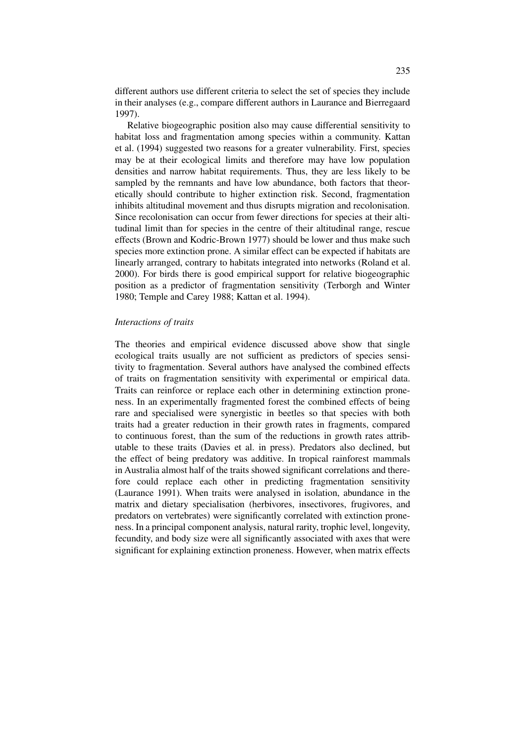different authors use different criteria to select the set of species they include in their analyses (e.g., compare different authors in Laurance and Bierregaard 1997).

Relative biogeographic position also may cause differential sensitivity to habitat loss and fragmentation among species within a community. Kattan et al. (1994) suggested two reasons for a greater vulnerability. First, species may be at their ecological limits and therefore may have low population densities and narrow habitat requirements. Thus, they are less likely to be sampled by the remnants and have low abundance, both factors that theoretically should contribute to higher extinction risk. Second, fragmentation inhibits altitudinal movement and thus disrupts migration and recolonisation. Since recolonisation can occur from fewer directions for species at their altitudinal limit than for species in the centre of their altitudinal range, rescue effects (Brown and Kodric-Brown 1977) should be lower and thus make such species more extinction prone. A similar effect can be expected if habitats are linearly arranged, contrary to habitats integrated into networks (Roland et al. 2000). For birds there is good empirical support for relative biogeographic position as a predictor of fragmentation sensitivity (Terborgh and Winter 1980; Temple and Carey 1988; Kattan et al. 1994).

## *Interactions of traits*

The theories and empirical evidence discussed above show that single ecological traits usually are not sufficient as predictors of species sensitivity to fragmentation. Several authors have analysed the combined effects of traits on fragmentation sensitivity with experimental or empirical data. Traits can reinforce or replace each other in determining extinction proneness. In an experimentally fragmented forest the combined effects of being rare and specialised were synergistic in beetles so that species with both traits had a greater reduction in their growth rates in fragments, compared to continuous forest, than the sum of the reductions in growth rates attributable to these traits (Davies et al. in press). Predators also declined, but the effect of being predatory was additive. In tropical rainforest mammals in Australia almost half of the traits showed significant correlations and therefore could replace each other in predicting fragmentation sensitivity (Laurance 1991). When traits were analysed in isolation, abundance in the matrix and dietary specialisation (herbivores, insectivores, frugivores, and predators on vertebrates) were significantly correlated with extinction proneness. In a principal component analysis, natural rarity, trophic level, longevity, fecundity, and body size were all significantly associated with axes that were significant for explaining extinction proneness. However, when matrix effects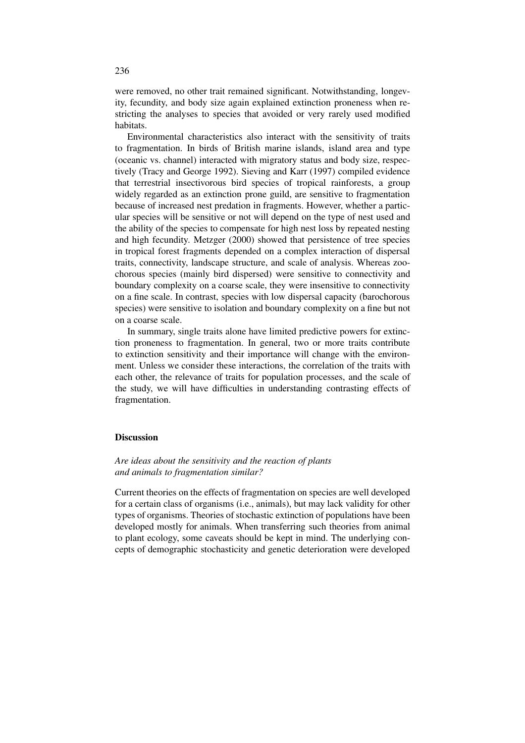were removed, no other trait remained significant. Notwithstanding, longevity, fecundity, and body size again explained extinction proneness when restricting the analyses to species that avoided or very rarely used modified habitats.

Environmental characteristics also interact with the sensitivity of traits to fragmentation. In birds of British marine islands, island area and type (oceanic vs. channel) interacted with migratory status and body size, respectively (Tracy and George 1992). Sieving and Karr (1997) compiled evidence that terrestrial insectivorous bird species of tropical rainforests, a group widely regarded as an extinction prone guild, are sensitive to fragmentation because of increased nest predation in fragments. However, whether a particular species will be sensitive or not will depend on the type of nest used and the ability of the species to compensate for high nest loss by repeated nesting and high fecundity. Metzger (2000) showed that persistence of tree species in tropical forest fragments depended on a complex interaction of dispersal traits, connectivity, landscape structure, and scale of analysis. Whereas zoochorous species (mainly bird dispersed) were sensitive to connectivity and boundary complexity on a coarse scale, they were insensitive to connectivity on a fine scale. In contrast, species with low dispersal capacity (barochorous species) were sensitive to isolation and boundary complexity on a fine but not on a coarse scale.

In summary, single traits alone have limited predictive powers for extinction proneness to fragmentation. In general, two or more traits contribute to extinction sensitivity and their importance will change with the environment. Unless we consider these interactions, the correlation of the traits with each other, the relevance of traits for population processes, and the scale of the study, we will have difficulties in understanding contrasting effects of fragmentation.

#### **Discussion**

# *Are ideas about the sensitivity and the reaction of plants and animals to fragmentation similar?*

Current theories on the effects of fragmentation on species are well developed for a certain class of organisms (i.e., animals), but may lack validity for other types of organisms. Theories of stochastic extinction of populations have been developed mostly for animals. When transferring such theories from animal to plant ecology, some caveats should be kept in mind. The underlying concepts of demographic stochasticity and genetic deterioration were developed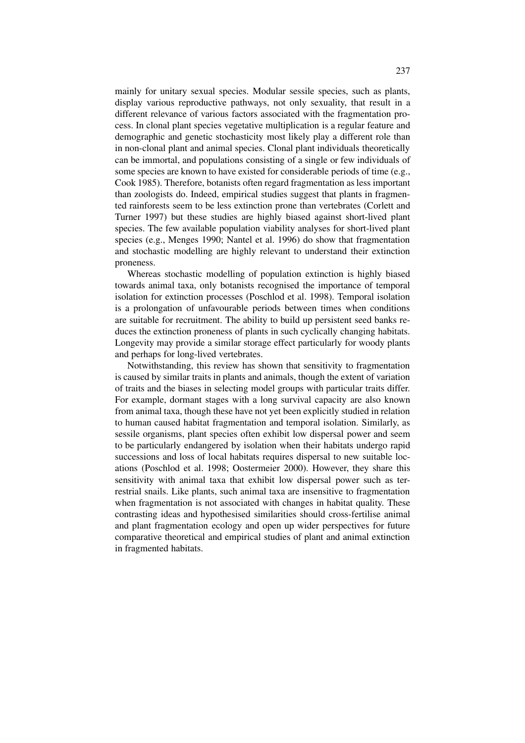mainly for unitary sexual species. Modular sessile species, such as plants, display various reproductive pathways, not only sexuality, that result in a different relevance of various factors associated with the fragmentation process. In clonal plant species vegetative multiplication is a regular feature and demographic and genetic stochasticity most likely play a different role than in non-clonal plant and animal species. Clonal plant individuals theoretically can be immortal, and populations consisting of a single or few individuals of some species are known to have existed for considerable periods of time (e.g., Cook 1985). Therefore, botanists often regard fragmentation as less important than zoologists do. Indeed, empirical studies suggest that plants in fragmented rainforests seem to be less extinction prone than vertebrates (Corlett and Turner 1997) but these studies are highly biased against short-lived plant species. The few available population viability analyses for short-lived plant species (e.g., Menges 1990; Nantel et al. 1996) do show that fragmentation and stochastic modelling are highly relevant to understand their extinction proneness.

Whereas stochastic modelling of population extinction is highly biased towards animal taxa, only botanists recognised the importance of temporal isolation for extinction processes (Poschlod et al. 1998). Temporal isolation is a prolongation of unfavourable periods between times when conditions are suitable for recruitment. The ability to build up persistent seed banks reduces the extinction proneness of plants in such cyclically changing habitats. Longevity may provide a similar storage effect particularly for woody plants and perhaps for long-lived vertebrates.

Notwithstanding, this review has shown that sensitivity to fragmentation is caused by similar traits in plants and animals, though the extent of variation of traits and the biases in selecting model groups with particular traits differ. For example, dormant stages with a long survival capacity are also known from animal taxa, though these have not yet been explicitly studied in relation to human caused habitat fragmentation and temporal isolation. Similarly, as sessile organisms, plant species often exhibit low dispersal power and seem to be particularly endangered by isolation when their habitats undergo rapid successions and loss of local habitats requires dispersal to new suitable locations (Poschlod et al. 1998; Oostermeier 2000). However, they share this sensitivity with animal taxa that exhibit low dispersal power such as terrestrial snails. Like plants, such animal taxa are insensitive to fragmentation when fragmentation is not associated with changes in habitat quality. These contrasting ideas and hypothesised similarities should cross-fertilise animal and plant fragmentation ecology and open up wider perspectives for future comparative theoretical and empirical studies of plant and animal extinction in fragmented habitats.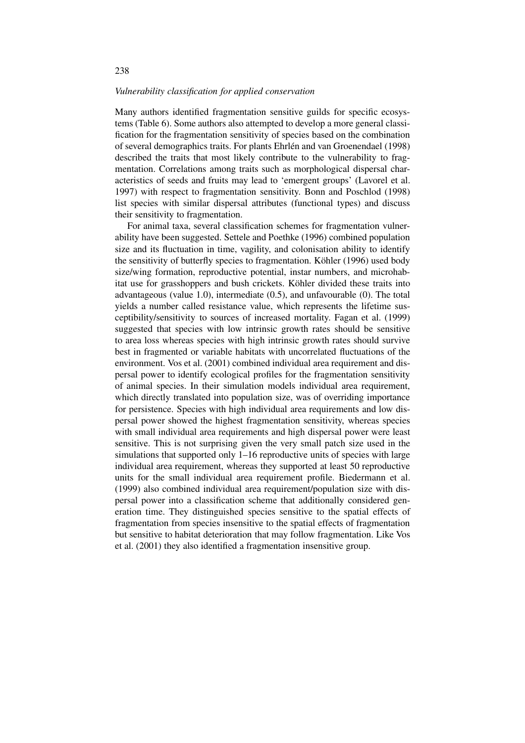#### *Vulnerability classification for applied conservation*

Many authors identified fragmentation sensitive guilds for specific ecosystems (Table 6). Some authors also attempted to develop a more general classification for the fragmentation sensitivity of species based on the combination of several demographics traits. For plants Ehrlén and van Groenendael (1998) described the traits that most likely contribute to the vulnerability to fragmentation. Correlations among traits such as morphological dispersal characteristics of seeds and fruits may lead to 'emergent groups' (Lavorel et al. 1997) with respect to fragmentation sensitivity. Bonn and Poschlod (1998) list species with similar dispersal attributes (functional types) and discuss their sensitivity to fragmentation.

For animal taxa, several classification schemes for fragmentation vulnerability have been suggested. Settele and Poethke (1996) combined population size and its fluctuation in time, vagility, and colonisation ability to identify the sensitivity of butterfly species to fragmentation. Köhler (1996) used body size/wing formation, reproductive potential, instar numbers, and microhabitat use for grasshoppers and bush crickets. Köhler divided these traits into advantageous (value 1.0), intermediate (0.5), and unfavourable (0). The total yields a number called resistance value, which represents the lifetime susceptibility/sensitivity to sources of increased mortality. Fagan et al. (1999) suggested that species with low intrinsic growth rates should be sensitive to area loss whereas species with high intrinsic growth rates should survive best in fragmented or variable habitats with uncorrelated fluctuations of the environment. Vos et al. (2001) combined individual area requirement and dispersal power to identify ecological profiles for the fragmentation sensitivity of animal species. In their simulation models individual area requirement, which directly translated into population size, was of overriding importance for persistence. Species with high individual area requirements and low dispersal power showed the highest fragmentation sensitivity, whereas species with small individual area requirements and high dispersal power were least sensitive. This is not surprising given the very small patch size used in the simulations that supported only 1–16 reproductive units of species with large individual area requirement, whereas they supported at least 50 reproductive units for the small individual area requirement profile. Biedermann et al. (1999) also combined individual area requirement/population size with dispersal power into a classification scheme that additionally considered generation time. They distinguished species sensitive to the spatial effects of fragmentation from species insensitive to the spatial effects of fragmentation but sensitive to habitat deterioration that may follow fragmentation. Like Vos et al. (2001) they also identified a fragmentation insensitive group.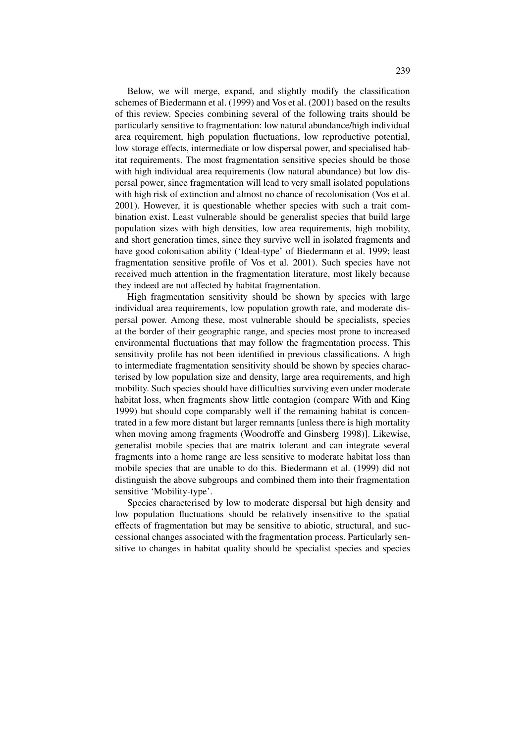Below, we will merge, expand, and slightly modify the classification schemes of Biedermann et al. (1999) and Vos et al. (2001) based on the results of this review. Species combining several of the following traits should be particularly sensitive to fragmentation: low natural abundance/high individual area requirement, high population fluctuations, low reproductive potential, low storage effects, intermediate or low dispersal power, and specialised habitat requirements. The most fragmentation sensitive species should be those with high individual area requirements (low natural abundance) but low dispersal power, since fragmentation will lead to very small isolated populations with high risk of extinction and almost no chance of recolonisation (Vos et al. 2001). However, it is questionable whether species with such a trait combination exist. Least vulnerable should be generalist species that build large population sizes with high densities, low area requirements, high mobility, and short generation times, since they survive well in isolated fragments and have good colonisation ability ('Ideal-type' of Biedermann et al. 1999; least fragmentation sensitive profile of Vos et al. 2001). Such species have not received much attention in the fragmentation literature, most likely because they indeed are not affected by habitat fragmentation.

High fragmentation sensitivity should be shown by species with large individual area requirements, low population growth rate, and moderate dispersal power. Among these, most vulnerable should be specialists, species at the border of their geographic range, and species most prone to increased environmental fluctuations that may follow the fragmentation process. This sensitivity profile has not been identified in previous classifications. A high to intermediate fragmentation sensitivity should be shown by species characterised by low population size and density, large area requirements, and high mobility. Such species should have difficulties surviving even under moderate habitat loss, when fragments show little contagion (compare With and King 1999) but should cope comparably well if the remaining habitat is concentrated in a few more distant but larger remnants [unless there is high mortality when moving among fragments (Woodroffe and Ginsberg 1998)]. Likewise, generalist mobile species that are matrix tolerant and can integrate several fragments into a home range are less sensitive to moderate habitat loss than mobile species that are unable to do this. Biedermann et al. (1999) did not distinguish the above subgroups and combined them into their fragmentation sensitive 'Mobility-type'.

Species characterised by low to moderate dispersal but high density and low population fluctuations should be relatively insensitive to the spatial effects of fragmentation but may be sensitive to abiotic, structural, and successional changes associated with the fragmentation process. Particularly sensitive to changes in habitat quality should be specialist species and species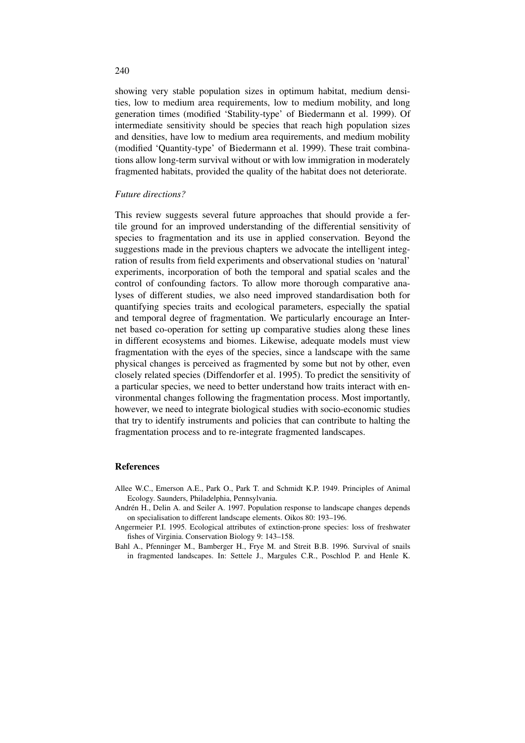showing very stable population sizes in optimum habitat, medium densities, low to medium area requirements, low to medium mobility, and long generation times (modified 'Stability-type' of Biedermann et al. 1999). Of intermediate sensitivity should be species that reach high population sizes and densities, have low to medium area requirements, and medium mobility (modified 'Quantity-type' of Biedermann et al. 1999). These trait combinations allow long-term survival without or with low immigration in moderately fragmented habitats, provided the quality of the habitat does not deteriorate.

#### *Future directions?*

This review suggests several future approaches that should provide a fertile ground for an improved understanding of the differential sensitivity of species to fragmentation and its use in applied conservation. Beyond the suggestions made in the previous chapters we advocate the intelligent integration of results from field experiments and observational studies on 'natural' experiments, incorporation of both the temporal and spatial scales and the control of confounding factors. To allow more thorough comparative analyses of different studies, we also need improved standardisation both for quantifying species traits and ecological parameters, especially the spatial and temporal degree of fragmentation. We particularly encourage an Internet based co-operation for setting up comparative studies along these lines in different ecosystems and biomes. Likewise, adequate models must view fragmentation with the eyes of the species, since a landscape with the same physical changes is perceived as fragmented by some but not by other, even closely related species (Diffendorfer et al. 1995). To predict the sensitivity of a particular species, we need to better understand how traits interact with environmental changes following the fragmentation process. Most importantly, however, we need to integrate biological studies with socio-economic studies that try to identify instruments and policies that can contribute to halting the fragmentation process and to re-integrate fragmented landscapes.

## **References**

- Allee W.C., Emerson A.E., Park O., Park T. and Schmidt K.P. 1949. Principles of Animal Ecology. Saunders, Philadelphia, Pennsylvania.
- Andrén H., Delin A. and Seiler A. 1997. Population response to landscape changes depends on specialisation to different landscape elements. Oikos 80: 193–196.
- Angermeier P.I. 1995. Ecological attributes of extinction-prone species: loss of freshwater fishes of Virginia. Conservation Biology 9: 143–158.
- Bahl A., Pfenninger M., Bamberger H., Frye M. and Streit B.B. 1996. Survival of snails in fragmented landscapes. In: Settele J., Margules C.R., Poschlod P. and Henle K.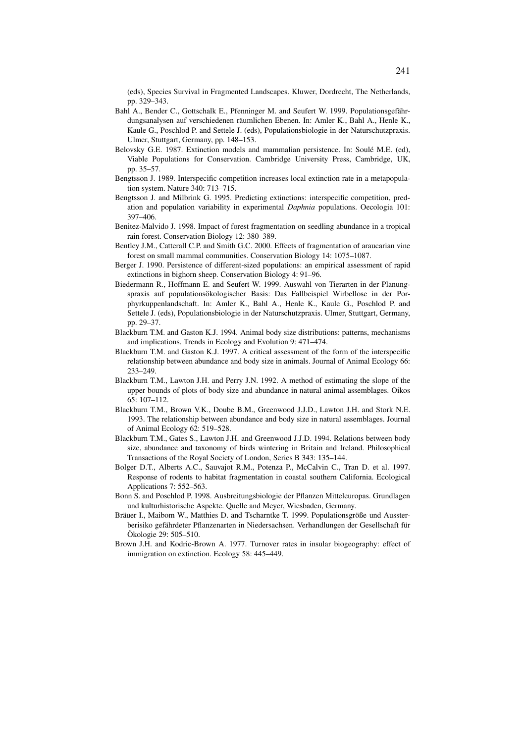(eds), Species Survival in Fragmented Landscapes. Kluwer, Dordrecht, The Netherlands, pp. 329–343.

- Bahl A., Bender C., Gottschalk E., Pfenninger M. and Seufert W. 1999. Populationsgefährdungsanalysen auf verschiedenen räumlichen Ebenen. In: Amler K., Bahl A., Henle K., Kaule G., Poschlod P. and Settele J. (eds), Populationsbiologie in der Naturschutzpraxis. Ulmer, Stuttgart, Germany, pp. 148–153.
- Belovsky G.E. 1987. Extinction models and mammalian persistence. In: Soulé M.E. (ed), Viable Populations for Conservation. Cambridge University Press, Cambridge, UK, pp. 35–57.
- Bengtsson J. 1989. Interspecific competition increases local extinction rate in a metapopulation system. Nature 340: 713–715.
- Bengtsson J. and Milbrink G. 1995. Predicting extinctions: interspecific competition, predation and population variability in experimental *Daphnia* populations. Oecologia 101: 397–406.
- Benitez-Malvido J. 1998. Impact of forest fragmentation on seedling abundance in a tropical rain forest. Conservation Biology 12: 380–389.
- Bentley J.M., Catterall C.P. and Smith G.C. 2000. Effects of fragmentation of araucarian vine forest on small mammal communities. Conservation Biology 14: 1075–1087.
- Berger J. 1990. Persistence of different-sized populations: an empirical assessment of rapid extinctions in bighorn sheep. Conservation Biology 4: 91–96.
- Biedermann R., Hoffmann E. and Seufert W. 1999. Auswahl von Tierarten in der Planungspraxis auf populationsökologischer Basis: Das Fallbeispiel Wirbellose in der Porphyrkuppenlandschaft. In: Amler K., Bahl A., Henle K., Kaule G., Poschlod P. and Settele J. (eds), Populationsbiologie in der Naturschutzpraxis. Ulmer, Stuttgart, Germany, pp. 29–37.
- Blackburn T.M. and Gaston K.J. 1994. Animal body size distributions: patterns, mechanisms and implications. Trends in Ecology and Evolution 9: 471–474.
- Blackburn T.M. and Gaston K.J. 1997. A critical assessment of the form of the interspecific relationship between abundance and body size in animals. Journal of Animal Ecology 66: 233–249.
- Blackburn T.M., Lawton J.H. and Perry J.N. 1992. A method of estimating the slope of the upper bounds of plots of body size and abundance in natural animal assemblages. Oikos 65: 107–112.
- Blackburn T.M., Brown V.K., Doube B.M., Greenwood J.J.D., Lawton J.H. and Stork N.E. 1993. The relationship between abundance and body size in natural assemblages. Journal of Animal Ecology 62: 519–528.
- Blackburn T.M., Gates S., Lawton J.H. and Greenwood J.J.D. 1994. Relations between body size, abundance and taxonomy of birds wintering in Britain and Ireland. Philosophical Transactions of the Royal Society of London, Series B 343: 135–144.
- Bolger D.T., Alberts A.C., Sauvajot R.M., Potenza P., McCalvin C., Tran D. et al. 1997. Response of rodents to habitat fragmentation in coastal southern California. Ecological Applications 7: 552–563.
- Bonn S. and Poschlod P. 1998. Ausbreitungsbiologie der Pflanzen Mitteleuropas. Grundlagen und kulturhistorische Aspekte. Quelle and Meyer, Wiesbaden, Germany.
- Bräuer I., Maibom W., Matthies D. and Tscharntke T. 1999. Populationsgröße und Aussterberisiko gefährdeter Pflanzenarten in Niedersachsen. Verhandlungen der Gesellschaft für Ökologie 29: 505–510.
- Brown J.H. and Kodric-Brown A. 1977. Turnover rates in insular biogeography: effect of immigration on extinction. Ecology 58: 445–449.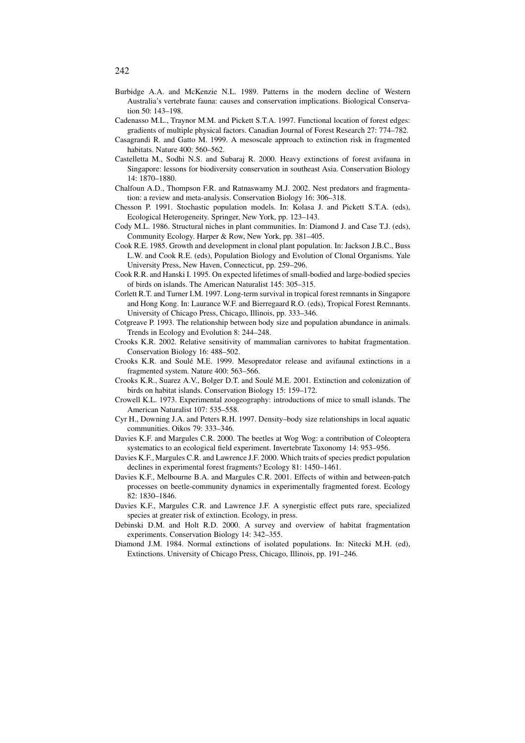- Burbidge A.A. and McKenzie N.L. 1989. Patterns in the modern decline of Western Australia's vertebrate fauna: causes and conservation implications. Biological Conservation 50: 143–198.
- Cadenasso M.L., Traynor M.M. and Pickett S.T.A. 1997. Functional location of forest edges: gradients of multiple physical factors. Canadian Journal of Forest Research 27: 774–782.
- Casagrandi R. and Gatto M. 1999. A mesoscale approach to extinction risk in fragmented habitats. Nature 400: 560–562.
- Castelletta M., Sodhi N.S. and Subaraj R. 2000. Heavy extinctions of forest avifauna in Singapore: lessons for biodiversity conservation in southeast Asia. Conservation Biology 14: 1870–1880.
- Chalfoun A.D., Thompson F.R. and Ratnaswamy M.J. 2002. Nest predators and fragmentation: a review and meta-analysis. Conservation Biology 16: 306–318.
- Chesson P. 1991. Stochastic population models. In: Kolasa J. and Pickett S.T.A. (eds), Ecological Heterogeneity. Springer, New York, pp. 123–143.
- Cody M.L. 1986. Structural niches in plant communities. In: Diamond J. and Case T.J. (eds), Community Ecology. Harper & Row, New York, pp. 381–405.
- Cook R.E. 1985. Growth and development in clonal plant population. In: Jackson J.B.C., Buss L.W. and Cook R.E. (eds), Population Biology and Evolution of Clonal Organisms. Yale University Press, New Haven, Connecticut, pp. 259–296.
- Cook R.R. and Hanski I. 1995. On expected lifetimes of small-bodied and large-bodied species of birds on islands. The American Naturalist 145: 305–315.
- Corlett R.T. and Turner I.M. 1997. Long-term survival in tropical forest remnants in Singapore and Hong Kong. In: Laurance W.F. and Bierregaard R.O. (eds), Tropical Forest Remnants. University of Chicago Press, Chicago, Illinois, pp. 333–346.
- Cotgreave P. 1993. The relationship between body size and population abundance in animals. Trends in Ecology and Evolution 8: 244–248.
- Crooks K.R. 2002. Relative sensitivity of mammalian carnivores to habitat fragmentation. Conservation Biology 16: 488–502.
- Crooks K.R. and Soulé M.E. 1999. Mesopredator release and avifaunal extinctions in a fragmented system. Nature 400: 563–566.
- Crooks K.R., Suarez A.V., Bolger D.T. and Soulé M.E. 2001. Extinction and colonization of birds on habitat islands. Conservation Biology 15: 159–172.
- Crowell K.L. 1973. Experimental zoogeography: introductions of mice to small islands. The American Naturalist 107: 535–558.
- Cyr H., Downing J.A. and Peters R.H. 1997. Density–body size relationships in local aquatic communities. Oikos 79: 333–346.
- Davies K.F. and Margules C.R. 2000. The beetles at Wog Wog: a contribution of Coleoptera systematics to an ecological field experiment. Invertebrate Taxonomy 14: 953–956.
- Davies K.F., Margules C.R. and Lawrence J.F. 2000. Which traits of species predict population declines in experimental forest fragments? Ecology 81: 1450–1461.
- Davies K.F., Melbourne B.A. and Margules C.R. 2001. Effects of within and between-patch processes on beetle-community dynamics in experimentally fragmented forest. Ecology 82: 1830–1846.
- Davies K.F., Margules C.R. and Lawrence J.F. A synergistic effect puts rare, specialized species at greater risk of extinction. Ecology, in press.
- Debinski D.M. and Holt R.D. 2000. A survey and overview of habitat fragmentation experiments. Conservation Biology 14: 342–355.
- Diamond J.M. 1984. Normal extinctions of isolated populations. In: Nitecki M.H. (ed), Extinctions. University of Chicago Press, Chicago, Illinois, pp. 191–246.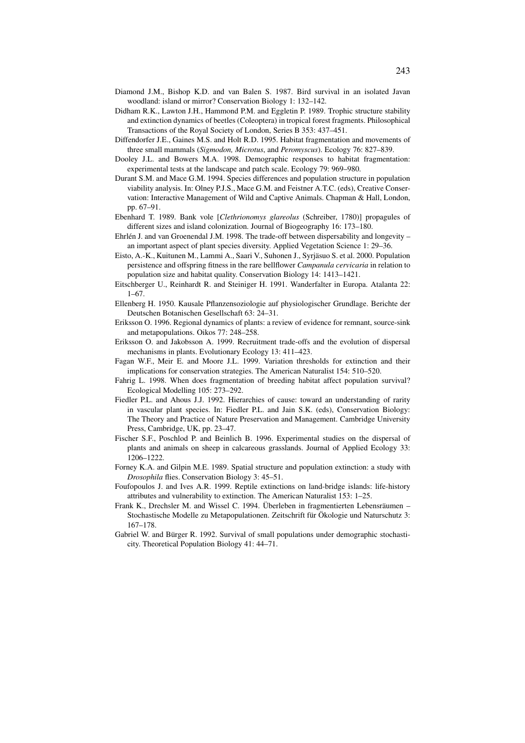- Diamond J.M., Bishop K.D. and van Balen S. 1987. Bird survival in an isolated Javan woodland: island or mirror? Conservation Biology 1: 132–142.
- Didham R.K., Lawton J.H., Hammond P.M. and Eggletin P. 1989. Trophic structure stability and extinction dynamics of beetles (Coleoptera) in tropical forest fragments. Philosophical Transactions of the Royal Society of London, Series B 353: 437–451.
- Diffendorfer J.E., Gaines M.S. and Holt R.D. 1995. Habitat fragmentation and movements of three small mammals (*Sigmodon, Microtus*, and *Peromyscus*). Ecology 76: 827–839.
- Dooley J.L. and Bowers M.A. 1998. Demographic responses to habitat fragmentation: experimental tests at the landscape and patch scale. Ecology 79: 969–980.
- Durant S.M. and Mace G.M. 1994. Species differences and population structure in population viability analysis. In: Olney P.J.S., Mace G.M. and Feistner A.T.C. (eds), Creative Conservation: Interactive Management of Wild and Captive Animals. Chapman & Hall, London, pp. 67–91.
- Ebenhard T. 1989. Bank vole [*Clethrionomys glareolus* (Schreiber, 1780)] propagules of different sizes and island colonization. Journal of Biogeography 16: 173–180.
- Ehrlén J. and van Groenendal J.M. 1998. The trade-off between dispersability and longevity an important aspect of plant species diversity. Applied Vegetation Science 1: 29–36.
- Eisto, A.-K., Kuitunen M., Lammi A., Saari V., Suhonen J., Syrjäsuo S. et al. 2000. Population persistence and offspring fitness in the rare bellflower *Campanula cervicaria* in relation to population size and habitat quality. Conservation Biology 14: 1413–1421.
- Eitschberger U., Reinhardt R. and Steiniger H. 1991. Wanderfalter in Europa. Atalanta 22: 1–67.
- Ellenberg H. 1950. Kausale Pflanzensoziologie auf physiologischer Grundlage. Berichte der Deutschen Botanischen Gesellschaft 63: 24–31.
- Eriksson O. 1996. Regional dynamics of plants: a review of evidence for remnant, source-sink and metapopulations. Oikos 77: 248–258.
- Eriksson O. and Jakobsson A. 1999. Recruitment trade-offs and the evolution of dispersal mechanisms in plants. Evolutionary Ecology 13: 411–423.
- Fagan W.F., Meir E. and Moore J.L. 1999. Variation thresholds for extinction and their implications for conservation strategies. The American Naturalist 154: 510–520.
- Fahrig L. 1998. When does fragmentation of breeding habitat affect population survival? Ecological Modelling 105: 273–292.
- Fiedler P.L. and Ahous J.J. 1992. Hierarchies of cause: toward an understanding of rarity in vascular plant species. In: Fiedler P.L. and Jain S.K. (eds), Conservation Biology: The Theory and Practice of Nature Preservation and Management. Cambridge University Press, Cambridge, UK, pp. 23–47.
- Fischer S.F., Poschlod P. and Beinlich B. 1996. Experimental studies on the dispersal of plants and animals on sheep in calcareous grasslands. Journal of Applied Ecology 33: 1206–1222.
- Forney K.A. and Gilpin M.E. 1989. Spatial structure and population extinction: a study with *Drosophila* flies. Conservation Biology 3: 45–51.
- Foufopoulos J. and Ives A.R. 1999. Reptile extinctions on land-bridge islands: life-history attributes and vulnerability to extinction. The American Naturalist 153: 1–25.
- Frank K., Drechsler M. and Wissel C. 1994. Überleben in fragmentierten Lebensräumen Stochastische Modelle zu Metapopulationen. Zeitschrift für Ökologie und Naturschutz 3: 167–178.
- Gabriel W. and Bürger R. 1992. Survival of small populations under demographic stochasticity. Theoretical Population Biology 41: 44–71.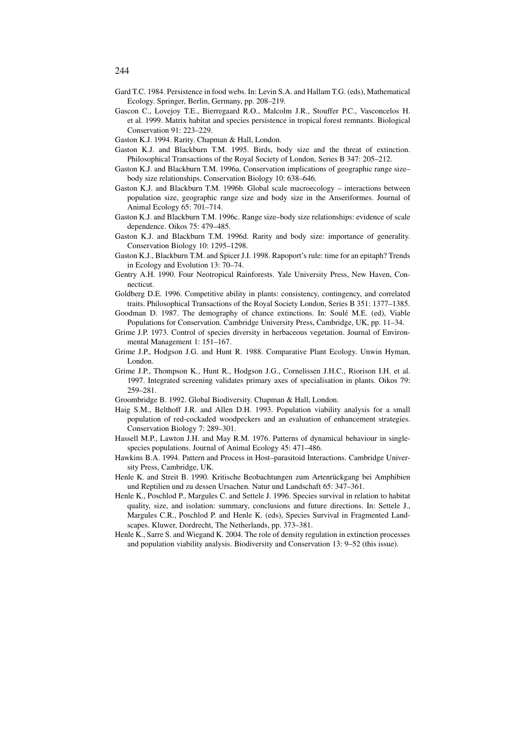- Gard T.C. 1984. Persistence in food webs. In: Levin S.A. and Hallam T.G. (eds), Mathematical Ecology. Springer, Berlin, Germany, pp. 208–219.
- Gascon C., Lovejoy T.E., Bierregaard R.O., Malcolm J.R., Stouffer P.C., Vasconcelos H. et al. 1999. Matrix habitat and species persistence in tropical forest remnants. Biological Conservation 91: 223–229.
- Gaston K.J. 1994. Rarity. Chapman & Hall, London.
- Gaston K.J. and Blackburn T.M. 1995. Birds, body size and the threat of extinction. Philosophical Transactions of the Royal Society of London, Series B 347: 205–212.
- Gaston K.J. and Blackburn T.M. 1996a. Conservation implications of geographic range size– body size relationships. Conservation Biology 10: 638–646.
- Gaston K.J. and Blackburn T.M. 1996b. Global scale macroecology interactions between population size, geographic range size and body size in the Anseriformes. Journal of Animal Ecology 65: 701–714.
- Gaston K.J. and Blackburn T.M. 1996c. Range size–body size relationships: evidence of scale dependence. Oikos 75: 479–485.
- Gaston K.J. and Blackburn T.M. 1996d. Rarity and body size: importance of generality. Conservation Biology 10: 1295–1298.
- Gaston K.J., Blackburn T.M. and Spicer J.I. 1998. Rapoport's rule: time for an epitaph? Trends in Ecology and Evolution 13: 70–74.
- Gentry A.H. 1990. Four Neotropical Rainforests. Yale University Press, New Haven, Connecticut.
- Goldberg D.E. 1996. Competitive ability in plants: consistency, contingency, and correlated traits. Philosophical Transactions of the Royal Society London, Series B 351: 1377–1385.
- Goodman D. 1987. The demography of chance extinctions. In: Soulé M.E. (ed), Viable Populations for Conservation. Cambridge University Press, Cambridge, UK, pp. 11–34.
- Grime J.P. 1973. Control of species diversity in herbaceous vegetation. Journal of Environmental Management 1: 151–167.
- Grime J.P., Hodgson J.G. and Hunt R. 1988. Comparative Plant Ecology. Unwin Hyman, London.
- Grime J.P., Thompson K., Hunt R., Hodgson J.G., Cornelissen J.H.C., Riorison I.H. et al. 1997. Integrated screening validates primary axes of specialisation in plants. Oikos 79: 259–281.
- Groombridge B. 1992. Global Biodiversity. Chapman & Hall, London.
- Haig S.M., Belthoff J.R. and Allen D.H. 1993. Population viability analysis for a small population of red-cockaded woodpeckers and an evaluation of enhancement strategies. Conservation Biology 7: 289–301.
- Hassell M.P., Lawton J.H. and May R.M. 1976. Patterns of dynamical behaviour in singlespecies populations. Journal of Animal Ecology 45: 471–486.
- Hawkins B.A. 1994. Pattern and Process in Host–parasitoid Interactions. Cambridge University Press, Cambridge, UK.
- Henle K. and Streit B. 1990. Kritische Beobachtungen zum Artenrückgang bei Amphibien und Reptilien und zu dessen Ursachen. Natur und Landschaft 65: 347–361.
- Henle K., Poschlod P., Margules C. and Settele J. 1996. Species survival in relation to habitat quality, size, and isolation: summary, conclusions and future directions. In: Settele J., Margules C.R., Poschlod P. and Henle K. (eds), Species Survival in Fragmented Landscapes. Kluwer, Dordrecht, The Netherlands, pp. 373–381.
- Henle K., Sarre S. and Wiegand K. 2004. The role of density regulation in extinction processes and population viability analysis. Biodiversity and Conservation 13: 9–52 (this issue).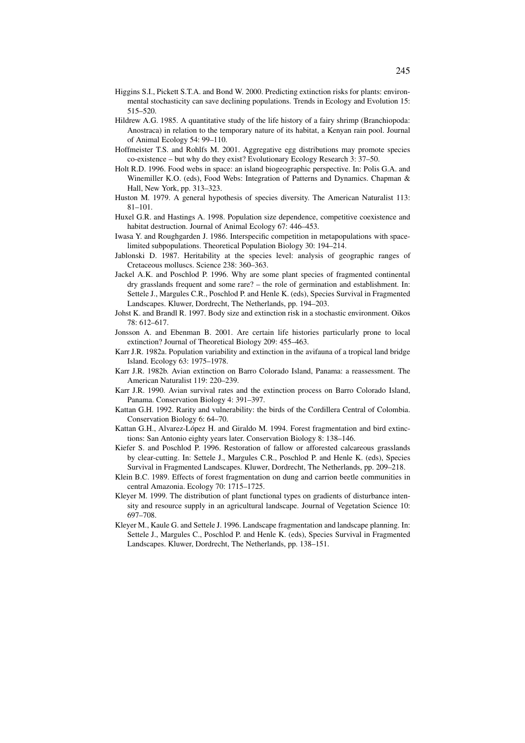- Higgins S.I., Pickett S.T.A. and Bond W. 2000. Predicting extinction risks for plants: environmental stochasticity can save declining populations. Trends in Ecology and Evolution 15: 515–520.
- Hildrew A.G. 1985. A quantitative study of the life history of a fairy shrimp (Branchiopoda: Anostraca) in relation to the temporary nature of its habitat, a Kenyan rain pool. Journal of Animal Ecology 54: 99–110.
- Hoffmeister T.S. and Rohlfs M. 2001. Aggregative egg distributions may promote species co-existence – but why do they exist? Evolutionary Ecology Research 3: 37–50.
- Holt R.D. 1996. Food webs in space: an island biogeographic perspective. In: Polis G.A. and Winemiller K.O. (eds), Food Webs: Integration of Patterns and Dynamics. Chapman & Hall, New York, pp. 313–323.
- Huston M. 1979. A general hypothesis of species diversity. The American Naturalist 113: 81–101.
- Huxel G.R. and Hastings A. 1998. Population size dependence, competitive coexistence and habitat destruction. Journal of Animal Ecology 67: 446–453.
- Iwasa Y. and Roughgarden J. 1986. Interspecific competition in metapopulations with spacelimited subpopulations. Theoretical Population Biology 30: 194–214.
- Jablonski D. 1987. Heritability at the species level: analysis of geographic ranges of Cretaceous molluscs. Science 238: 360–363.
- Jackel A.K. and Poschlod P. 1996. Why are some plant species of fragmented continental dry grasslands frequent and some rare? – the role of germination and establishment. In: Settele J., Margules C.R., Poschlod P. and Henle K. (eds), Species Survival in Fragmented Landscapes. Kluwer, Dordrecht, The Netherlands, pp. 194–203.
- Johst K. and Brandl R. 1997. Body size and extinction risk in a stochastic environment. Oikos 78: 612–617.
- Jonsson A. and Ebenman B. 2001. Are certain life histories particularly prone to local extinction? Journal of Theoretical Biology 209: 455–463.
- Karr J.R. 1982a. Population variability and extinction in the avifauna of a tropical land bridge Island. Ecology 63: 1975–1978.
- Karr J.R. 1982b. Avian extinction on Barro Colorado Island, Panama: a reassessment. The American Naturalist 119: 220–239.
- Karr J.R. 1990. Avian survival rates and the extinction process on Barro Colorado Island, Panama. Conservation Biology 4: 391–397.
- Kattan G.H. 1992. Rarity and vulnerability: the birds of the Cordillera Central of Colombia. Conservation Biology 6: 64–70.
- Kattan G.H., Alvarez-López H. and Giraldo M. 1994. Forest fragmentation and bird extinctions: San Antonio eighty years later. Conservation Biology 8: 138–146.
- Kiefer S. and Poschlod P. 1996. Restoration of fallow or afforested calcareous grasslands by clear-cutting. In: Settele J., Margules C.R., Poschlod P. and Henle K. (eds), Species Survival in Fragmented Landscapes. Kluwer, Dordrecht, The Netherlands, pp. 209–218.
- Klein B.C. 1989. Effects of forest fragmentation on dung and carrion beetle communities in central Amazonia. Ecology 70: 1715–1725.
- Kleyer M. 1999. The distribution of plant functional types on gradients of disturbance intensity and resource supply in an agricultural landscape. Journal of Vegetation Science 10: 697–708.
- Kleyer M., Kaule G. and Settele J. 1996. Landscape fragmentation and landscape planning. In: Settele J., Margules C., Poschlod P. and Henle K. (eds), Species Survival in Fragmented Landscapes. Kluwer, Dordrecht, The Netherlands, pp. 138–151.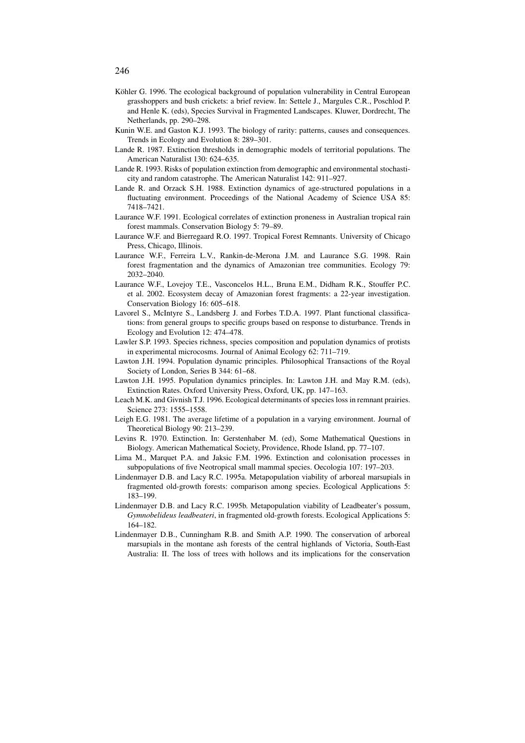- Köhler G. 1996. The ecological background of population vulnerability in Central European grasshoppers and bush crickets: a brief review. In: Settele J., Margules C.R., Poschlod P. and Henle K. (eds), Species Survival in Fragmented Landscapes. Kluwer, Dordrecht, The Netherlands, pp. 290–298.
- Kunin W.E. and Gaston K.J. 1993. The biology of rarity: patterns, causes and consequences. Trends in Ecology and Evolution 8: 289–301.
- Lande R. 1987. Extinction thresholds in demographic models of territorial populations. The American Naturalist 130: 624–635.
- Lande R. 1993. Risks of population extinction from demographic and environmental stochasticity and random catastrophe. The American Naturalist 142: 911–927.
- Lande R. and Orzack S.H. 1988. Extinction dynamics of age-structured populations in a fluctuating environment. Proceedings of the National Academy of Science USA 85: 7418–7421.
- Laurance W.F. 1991. Ecological correlates of extinction proneness in Australian tropical rain forest mammals. Conservation Biology 5: 79–89.
- Laurance W.F. and Bierregaard R.O. 1997. Tropical Forest Remnants. University of Chicago Press, Chicago, Illinois.
- Laurance W.F., Ferreira L.V., Rankin-de-Merona J.M. and Laurance S.G. 1998. Rain forest fragmentation and the dynamics of Amazonian tree communities. Ecology 79: 2032–2040.
- Laurance W.F., Lovejoy T.E., Vasconcelos H.L., Bruna E.M., Didham R.K., Stouffer P.C. et al. 2002. Ecosystem decay of Amazonian forest fragments: a 22-year investigation. Conservation Biology 16: 605–618.
- Lavorel S., McIntyre S., Landsberg J. and Forbes T.D.A. 1997. Plant functional classifications: from general groups to specific groups based on response to disturbance. Trends in Ecology and Evolution 12: 474–478.
- Lawler S.P. 1993. Species richness, species composition and population dynamics of protists in experimental microcosms. Journal of Animal Ecology 62: 711–719.
- Lawton J.H. 1994. Population dynamic principles. Philosophical Transactions of the Royal Society of London, Series B 344: 61–68.
- Lawton J.H. 1995. Population dynamics principles. In: Lawton J.H. and May R.M. (eds), Extinction Rates. Oxford University Press, Oxford, UK, pp. 147–163.
- Leach M.K. and Givnish T.J. 1996. Ecological determinants of species loss in remnant prairies. Science 273: 1555–1558.
- Leigh E.G. 1981. The average lifetime of a population in a varying environment. Journal of Theoretical Biology 90: 213–239.
- Levins R. 1970. Extinction. In: Gerstenhaber M. (ed), Some Mathematical Questions in Biology. American Mathematical Society, Providence, Rhode Island, pp. 77–107.
- Lima M., Marquet P.A. and Jaksic F.M. 1996. Extinction and colonisation processes in subpopulations of five Neotropical small mammal species. Oecologia 107: 197–203.
- Lindenmayer D.B. and Lacy R.C. 1995a. Metapopulation viability of arboreal marsupials in fragmented old-growth forests: comparison among species. Ecological Applications 5: 183–199.
- Lindenmayer D.B. and Lacy R.C. 1995b. Metapopulation viability of Leadbeater's possum, *Gymnobelideus leadbeateri*, in fragmented old-growth forests. Ecological Applications 5: 164–182.
- Lindenmayer D.B., Cunningham R.B. and Smith A.P. 1990. The conservation of arboreal marsupials in the montane ash forests of the central highlands of Victoria, South-East Australia: II. The loss of trees with hollows and its implications for the conservation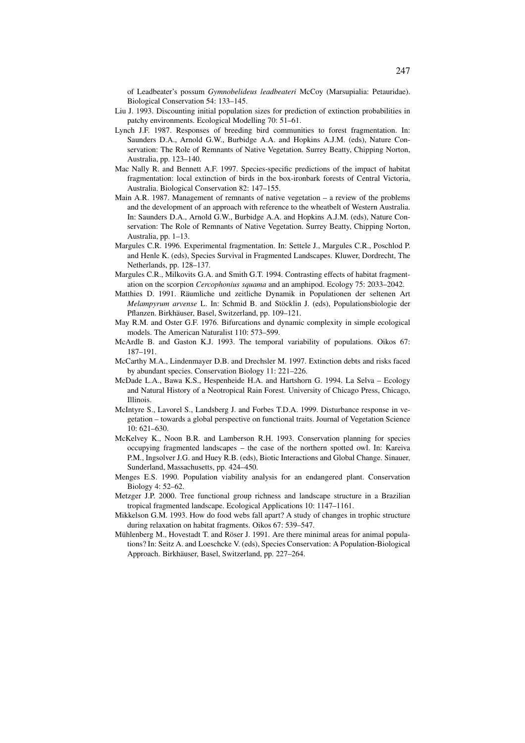of Leadbeater's possum *Gymnobelideus leadbeateri* McCoy (Marsupialia: Petauridae). Biological Conservation 54: 133–145.

- Liu J. 1993. Discounting initial population sizes for prediction of extinction probabilities in patchy environments. Ecological Modelling 70: 51–61.
- Lynch J.F. 1987. Responses of breeding bird communities to forest fragmentation. In: Saunders D.A., Arnold G.W., Burbidge A.A. and Hopkins A.J.M. (eds), Nature Conservation: The Role of Remnants of Native Vegetation. Surrey Beatty, Chipping Norton, Australia, pp. 123–140.
- Mac Nally R. and Bennett A.F. 1997. Species-specific predictions of the impact of habitat fragmentation: local extinction of birds in the box-ironbark forests of Central Victoria, Australia. Biological Conservation 82: 147–155.
- Main A.R. 1987. Management of remnants of native vegetation a review of the problems and the development of an approach with reference to the wheatbelt of Western Australia. In: Saunders D.A., Arnold G.W., Burbidge A.A. and Hopkins A.J.M. (eds), Nature Conservation: The Role of Remnants of Native Vegetation. Surrey Beatty, Chipping Norton, Australia, pp. 1–13.
- Margules C.R. 1996. Experimental fragmentation. In: Settele J., Margules C.R., Poschlod P. and Henle K. (eds), Species Survival in Fragmented Landscapes. Kluwer, Dordrecht, The Netherlands, pp. 128–137.
- Margules C.R., Milkovits G.A. and Smith G.T. 1994. Contrasting effects of habitat fragmentation on the scorpion *Cercophonius squama* and an amphipod. Ecology 75: 2033–2042.
- Matthies D. 1991. Räumliche und zeitliche Dynamik in Populationen der seltenen Art *Melampyrum arvense* L. In: Schmid B. and Stöcklin J. (eds), Populationsbiologie der Pflanzen. Birkhäuser, Basel, Switzerland, pp. 109–121.
- May R.M. and Oster G.F. 1976. Bifurcations and dynamic complexity in simple ecological models. The American Naturalist 110: 573–599.
- McArdle B. and Gaston K.J. 1993. The temporal variability of populations. Oikos 67: 187–191.
- McCarthy M.A., Lindenmayer D.B. and Drechsler M. 1997. Extinction debts and risks faced by abundant species. Conservation Biology 11: 221–226.
- McDade L.A., Bawa K.S., Hespenheide H.A. and Hartshorn G. 1994. La Selva Ecology and Natural History of a Neotropical Rain Forest. University of Chicago Press, Chicago, Illinois.
- McIntyre S., Lavorel S., Landsberg J. and Forbes T.D.A. 1999. Disturbance response in vegetation – towards a global perspective on functional traits. Journal of Vegetation Science 10: 621–630.
- McKelvey K., Noon B.R. and Lamberson R.H. 1993. Conservation planning for species occupying fragmented landscapes – the case of the northern spotted owl. In: Kareiva P.M., Ingsolver J.G. and Huey R.B. (eds), Biotic Interactions and Global Change. Sinauer, Sunderland, Massachusetts, pp. 424–450.
- Menges E.S. 1990. Population viability analysis for an endangered plant. Conservation Biology 4: 52–62.
- Metzger J.P. 2000. Tree functional group richness and landscape structure in a Brazilian tropical fragmented landscape. Ecological Applications 10: 1147–1161.
- Mikkelson G.M. 1993. How do food webs fall apart? A study of changes in trophic structure during relaxation on habitat fragments. Oikos 67: 539–547.
- Mühlenberg M., Hovestadt T. and Röser J. 1991. Are there minimal areas for animal populations? In: Seitz A. and Loeschcke V. (eds), Species Conservation: A Population-Biological Approach. Birkhäuser, Basel, Switzerland, pp. 227–264.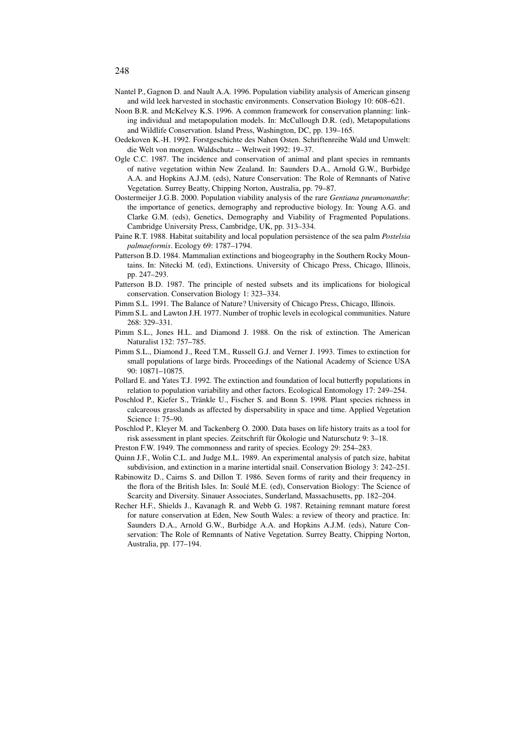- Nantel P., Gagnon D. and Nault A.A. 1996. Population viability analysis of American ginseng and wild leek harvested in stochastic environments. Conservation Biology 10: 608–621.
- Noon B.R. and McKelvey K.S. 1996. A common framework for conservation planning: linking individual and metapopulation models. In: McCullough D.R. (ed), Metapopulations and Wildlife Conservation. Island Press, Washington, DC, pp. 139–165.
- Oedekoven K.-H. 1992. Forstgeschichte des Nahen Osten. Schriftenreihe Wald und Umwelt: die Welt von morgen. Waldschutz – Weltweit 1992: 19–37.
- Ogle C.C. 1987. The incidence and conservation of animal and plant species in remnants of native vegetation within New Zealand. In: Saunders D.A., Arnold G.W., Burbidge A.A. and Hopkins A.J.M. (eds), Nature Conservation: The Role of Remnants of Native Vegetation. Surrey Beatty, Chipping Norton, Australia, pp. 79–87.
- Oostermeijer J.G.B. 2000. Population viability analysis of the rare *Gentiana pneumonanthe*: the importance of genetics, demography and reproductive biology. In: Young A.G. and Clarke G.M. (eds), Genetics, Demography and Viability of Fragmented Populations. Cambridge University Press, Cambridge, UK, pp. 313–334.
- Paine R.T. 1988. Habitat suitability and local population persistence of the sea palm *Postelsia palmaeformis*. Ecology 69: 1787–1794.
- Patterson B.D. 1984. Mammalian extinctions and biogeography in the Southern Rocky Mountains. In: Nitecki M. (ed), Extinctions. University of Chicago Press, Chicago, Illinois, pp. 247–293.
- Patterson B.D. 1987. The principle of nested subsets and its implications for biological conservation. Conservation Biology 1: 323–334.
- Pimm S.L. 1991. The Balance of Nature? University of Chicago Press, Chicago, Illinois.
- Pimm S.L. and Lawton J.H. 1977. Number of trophic levels in ecological communities. Nature 268: 329–331.
- Pimm S.L., Jones H.L. and Diamond J. 1988. On the risk of extinction. The American Naturalist 132: 757–785.
- Pimm S.L., Diamond J., Reed T.M., Russell G.J. and Verner J. 1993. Times to extinction for small populations of large birds. Proceedings of the National Academy of Science USA 90: 10871–10875.
- Pollard E. and Yates T.J. 1992. The extinction and foundation of local butterfly populations in relation to population variability and other factors. Ecological Entomology 17: 249–254.
- Poschlod P., Kiefer S., Tränkle U., Fischer S. and Bonn S. 1998. Plant species richness in calcareous grasslands as affected by dispersability in space and time. Applied Vegetation Science 1: 75–90.
- Poschlod P., Kleyer M. and Tackenberg O. 2000. Data bases on life history traits as a tool for risk assessment in plant species. Zeitschrift für Ökologie und Naturschutz 9: 3–18.
- Preston F.W. 1949. The commonness and rarity of species. Ecology 29: 254–283.
- Quinn J.F., Wolin C.L. and Judge M.L. 1989. An experimental analysis of patch size, habitat subdivision, and extinction in a marine intertidal snail. Conservation Biology 3: 242–251.
- Rabinowitz D., Cairns S. and Dillon T. 1986. Seven forms of rarity and their frequency in the flora of the British Isles. In: Soulé M.E. (ed), Conservation Biology: The Science of Scarcity and Diversity. Sinauer Associates, Sunderland, Massachusetts, pp. 182–204.
- Recher H.F., Shields J., Kavanagh R. and Webb G. 1987. Retaining remnant mature forest for nature conservation at Eden, New South Wales: a review of theory and practice. In: Saunders D.A., Arnold G.W., Burbidge A.A. and Hopkins A.J.M. (eds), Nature Conservation: The Role of Remnants of Native Vegetation. Surrey Beatty, Chipping Norton, Australia, pp. 177–194.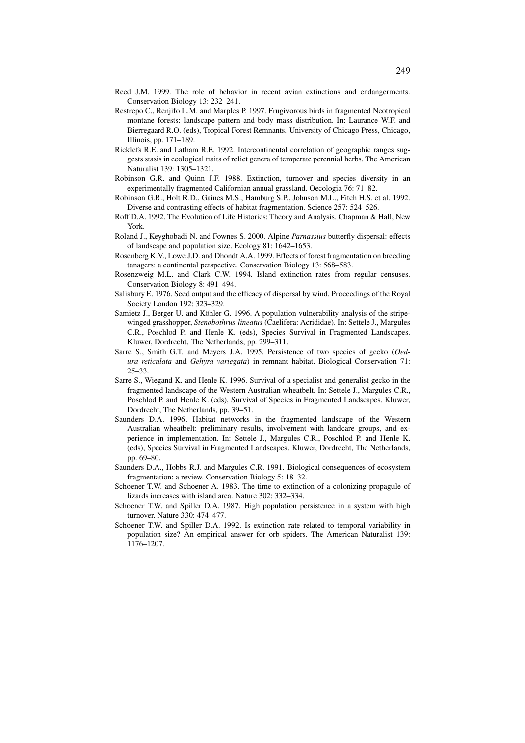- Reed J.M. 1999. The role of behavior in recent avian extinctions and endangerments. Conservation Biology 13: 232–241.
- Restrepo C., Renjifo L.M. and Marples P. 1997. Frugivorous birds in fragmented Neotropical montane forests: landscape pattern and body mass distribution. In: Laurance W.F. and Bierregaard R.O. (eds), Tropical Forest Remnants. University of Chicago Press, Chicago, Illinois, pp. 171–189.
- Ricklefs R.E. and Latham R.E. 1992. Intercontinental correlation of geographic ranges suggests stasis in ecological traits of relict genera of temperate perennial herbs. The American Naturalist 139: 1305–1321.
- Robinson G.R. and Quinn J.F. 1988. Extinction, turnover and species diversity in an experimentally fragmented Californian annual grassland. Oecologia 76: 71–82.
- Robinson G.R., Holt R.D., Gaines M.S., Hamburg S.P., Johnson M.L., Fitch H.S. et al. 1992. Diverse and contrasting effects of habitat fragmentation. Science 257: 524–526.
- Roff D.A. 1992. The Evolution of Life Histories: Theory and Analysis. Chapman & Hall, New York.
- Roland J., Keyghobadi N. and Fownes S. 2000. Alpine *Parnassius* butterfly dispersal: effects of landscape and population size. Ecology 81: 1642–1653.
- Rosenberg K.V., Lowe J.D. and Dhondt A.A. 1999. Effects of forest fragmentation on breeding tanagers: a continental perspective. Conservation Biology 13: 568–583.
- Rosenzweig M.L. and Clark C.W. 1994. Island extinction rates from regular censuses. Conservation Biology 8: 491–494.
- Salisbury E. 1976. Seed output and the efficacy of dispersal by wind. Proceedings of the Royal Society London 192: 323–329.
- Samietz J., Berger U. and Köhler G. 1996. A population vulnerability analysis of the stripewinged grasshopper, *Stenobothrus lineatus* (Caelifera: Acrididae). In: Settele J., Margules C.R., Poschlod P. and Henle K. (eds), Species Survival in Fragmented Landscapes. Kluwer, Dordrecht, The Netherlands, pp. 299–311.
- Sarre S., Smith G.T. and Meyers J.A. 1995. Persistence of two species of gecko (*Oedura reticulata* and *Gehyra variegata*) in remnant habitat. Biological Conservation 71: 25–33.
- Sarre S., Wiegand K. and Henle K. 1996. Survival of a specialist and generalist gecko in the fragmented landscape of the Western Australian wheatbelt. In: Settele J., Margules C.R., Poschlod P. and Henle K. (eds), Survival of Species in Fragmented Landscapes. Kluwer, Dordrecht, The Netherlands, pp. 39–51.
- Saunders D.A. 1996. Habitat networks in the fragmented landscape of the Western Australian wheatbelt: preliminary results, involvement with landcare groups, and experience in implementation. In: Settele J., Margules C.R., Poschlod P. and Henle K. (eds), Species Survival in Fragmented Landscapes. Kluwer, Dordrecht, The Netherlands, pp. 69–80.
- Saunders D.A., Hobbs R.J. and Margules C.R. 1991. Biological consequences of ecosystem fragmentation: a review. Conservation Biology 5: 18–32.
- Schoener T.W. and Schoener A. 1983. The time to extinction of a colonizing propagule of lizards increases with island area. Nature 302: 332–334.
- Schoener T.W. and Spiller D.A. 1987. High population persistence in a system with high turnover. Nature 330: 474–477.
- Schoener T.W. and Spiller D.A. 1992. Is extinction rate related to temporal variability in population size? An empirical answer for orb spiders. The American Naturalist 139: 1176–1207.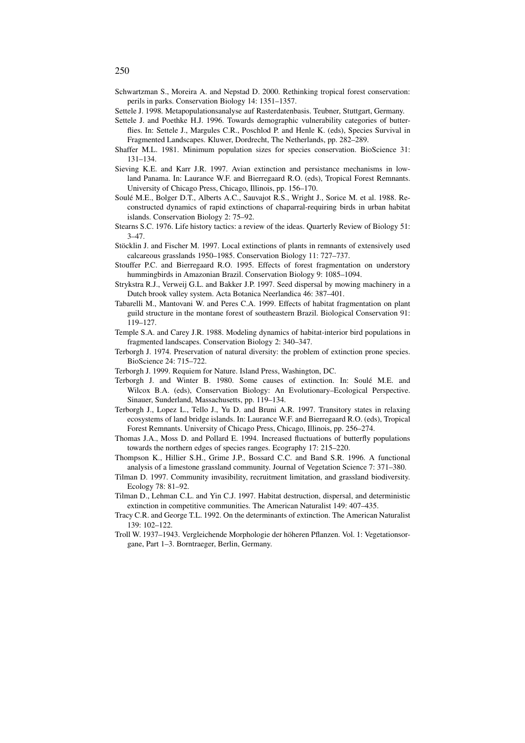- Schwartzman S., Moreira A. and Nepstad D. 2000. Rethinking tropical forest conservation: perils in parks. Conservation Biology 14: 1351–1357.
- Settele J. 1998. Metapopulationsanalyse auf Rasterdatenbasis. Teubner, Stuttgart, Germany.
- Settele J. and Poethke H.J. 1996. Towards demographic vulnerability categories of butterflies. In: Settele J., Margules C.R., Poschlod P. and Henle K. (eds), Species Survival in Fragmented Landscapes. Kluwer, Dordrecht, The Netherlands, pp. 282–289.
- Shaffer M.L. 1981. Minimum population sizes for species conservation. BioScience 31: 131–134.
- Sieving K.E. and Karr J.R. 1997. Avian extinction and persistance mechanisms in lowland Panama. In: Laurance W.F. and Bierregaard R.O. (eds), Tropical Forest Remnants. University of Chicago Press, Chicago, Illinois, pp. 156–170.
- Soulé M.E., Bolger D.T., Alberts A.C., Sauvajot R.S., Wright J., Sorice M. et al. 1988. Reconstructed dynamics of rapid extinctions of chaparral-requiring birds in urban habitat islands. Conservation Biology 2: 75–92.
- Stearns S.C. 1976. Life history tactics: a review of the ideas. Quarterly Review of Biology 51: 3–47.
- Stöcklin J. and Fischer M. 1997. Local extinctions of plants in remnants of extensively used calcareous grasslands 1950–1985. Conservation Biology 11: 727–737.
- Stouffer P.C. and Bierregaard R.O. 1995. Effects of forest fragmentation on understory hummingbirds in Amazonian Brazil. Conservation Biology 9: 1085–1094.
- Strykstra R.J., Verweij G.L. and Bakker J.P. 1997. Seed dispersal by mowing machinery in a Dutch brook valley system. Acta Botanica Neerlandica 46: 387–401.
- Tabarelli M., Mantovani W. and Peres C.A. 1999. Effects of habitat fragmentation on plant guild structure in the montane forest of southeastern Brazil. Biological Conservation 91: 119–127.
- Temple S.A. and Carey J.R. 1988. Modeling dynamics of habitat-interior bird populations in fragmented landscapes. Conservation Biology 2: 340–347.
- Terborgh J. 1974. Preservation of natural diversity: the problem of extinction prone species. BioScience 24: 715–722.
- Terborgh J. 1999. Requiem for Nature. Island Press, Washington, DC.
- Terborgh J. and Winter B. 1980. Some causes of extinction. In: Soulé M.E. and Wilcox B.A. (eds), Conservation Biology: An Evolutionary–Ecological Perspective. Sinauer, Sunderland, Massachusetts, pp. 119–134.
- Terborgh J., Lopez L., Tello J., Yu D. and Bruni A.R. 1997. Transitory states in relaxing ecosystems of land bridge islands. In: Laurance W.F. and Bierregaard R.O. (eds), Tropical Forest Remnants. University of Chicago Press, Chicago, Illinois, pp. 256–274.
- Thomas J.A., Moss D. and Pollard E. 1994. Increased fluctuations of butterfly populations towards the northern edges of species ranges. Ecography 17: 215–220.
- Thompson K., Hillier S.H., Grime J.P., Bossard C.C. and Band S.R. 1996. A functional analysis of a limestone grassland community. Journal of Vegetation Science 7: 371–380.
- Tilman D. 1997. Community invasibility, recruitment limitation, and grassland biodiversity. Ecology 78: 81–92.
- Tilman D., Lehman C.L. and Yin C.J. 1997. Habitat destruction, dispersal, and deterministic extinction in competitive communities. The American Naturalist 149: 407–435.
- Tracy C.R. and George T.L. 1992. On the determinants of extinction. The American Naturalist 139: 102–122.
- Troll W. 1937–1943. Vergleichende Morphologie der höheren Pflanzen. Vol. 1: Vegetationsorgane, Part 1–3. Borntraeger, Berlin, Germany.